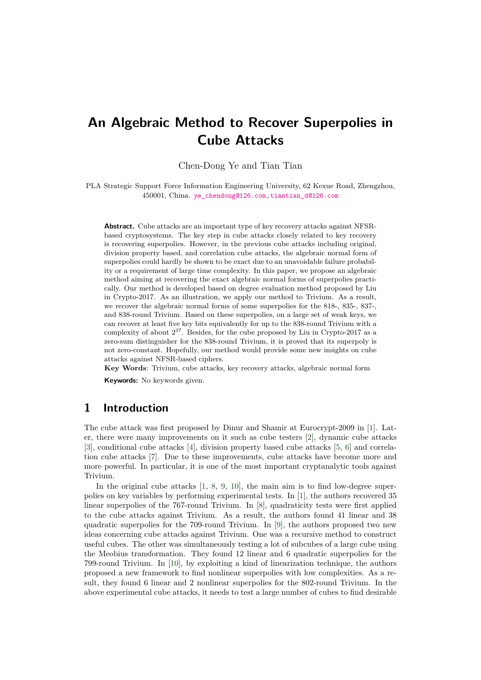# **An Algebraic Method to Recover Superpolies in Cube Attacks**

Chen-Dong Ye and Tian Tian

PLA Strategic Support Force Information Engineering University, 62 Kexue Road, Zhengzhou, 450001, China. ye\_chendong@126.com,tiantian\_d@126.com

**Abstract.** Cube attacks are an important type of key recovery attacks against NFSRbased cryptosystems. The [key step in cube attacks closely related to k](mailto:ye_chendong@126.com,tiantian_d@126.com)ey recovery is recovering superpolies. However, in the previous cube attacks including original, division property based, and correlation cube attacks, the algebraic normal form of superpolies could hardly be shown to be exact due to an unavoidable failure probability or a requirement of large time complexity. In this paper, we propose an algebraic method aiming at recovering the exact algebraic normal forms of superpolies practically. Our method is developed based on degree evaluation method proposed by Liu in Crypto-2017. As an illustration, we apply our method to Trivium. As a result, we recover the algebraic normal forms of some superpolies for the 818-, 835-, 837-, and 838-round Trivium. Based on these superpolies, on a large set of weak keys, we can recover at least five key bits equivalently for up to the 838-round Trivium with a complexity of about  $2^{37}$ . Besides, for the cube proposed by Liu in Crypto-2017 as a zero-sum distinguisher for the 838-round Trivium, it is proved that its superpoly is not zero-constant. Hopefully, our method would provide some new insights on cube attacks against NFSR-based ciphers.

**Key Words**: Trivium, cube attacks, key recovery attacks, algebraic normal form

**Keywords:** No keywords given.

# **1 Introduction**

The cube attack was first proposed by Dinur and Shamir at Eurocrypt-2009 in [1]. Later, there were many improvements on it such as cube testers [2], dynamic cube attacks [3], conditional cube attacks [4], division property based cube attacks [5, 6] and correlation cube attacks [7]. Due to these improvements, cube attacks have become more and more powerful. In particular, it is one of the most important cryptanalytic tools [a](#page-20-0)gainst Trivium.

In the original cube attac[ks](#page-20-1) [1, 8, 9, 10], the main aim is to find [lo](#page-20-2)[w-](#page-20-3)degree superpolies on key varia[bl](#page-20-4)es by performing experimental tests. In [1], the authors recovered 35 linear superpolies of the 767-round Trivium. In [8], quadraticity tests were first applied to the cube attacks against Trivium. As a result, the authors found 41 linear and 38 quadratic superpolies for the 70[9-r](#page-20-0)[ou](#page-20-5)n[d](#page-20-6) [Triv](#page-20-7)ium. In [9], the authors proposed two new ideas concerning cube attacks against Trivium. One was a re[cu](#page-20-0)rsive method to construct useful cubes. The other was simultaneously testin[g](#page-20-5) a lot of subcubes of a large cube using the Meobius transformation. They found 12 linear and 6 quadratic superpolies for the 799-round Trivium. In [10], by exploiting a kind of li[ne](#page-20-6)arization technique, the authors proposed a new framework to find nonlinear superpolies with low complexities. As a result, they found 6 linear and 2 nonlinear superpolies for the 802-round Trivium. In the above experimental cube attacks, it needs to test a large number of cubes to find desirable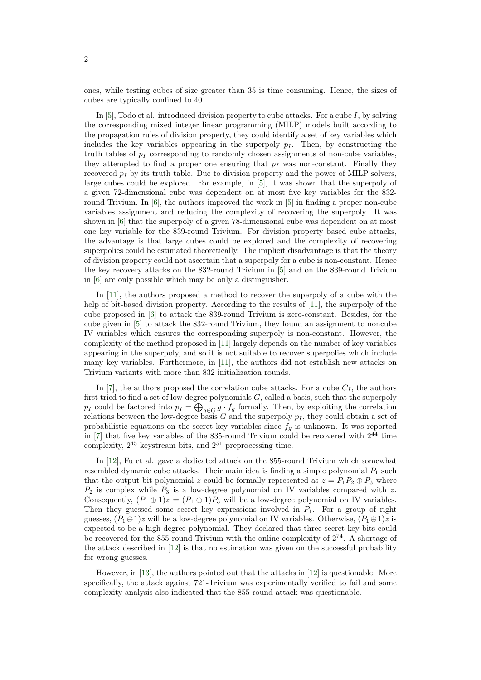ones, while testing cubes of size greater than 35 is time consuming. Hence, the sizes of cubes are typically confined to 40.

In [5], Todo et al. introduced division property to cube attacks. For a cube *I*, by solving the corresponding mixed integer linear programming (MILP) models built according to the propagation rules of division property, they could identify a set of key variables which includes the key variables appearing in the superpoly  $p_I$ . Then, by constructing the truth [ta](#page-20-2)bles of  $p_I$  corresponding to randomly chosen assignments of non-cube variables, they attempted to find a proper one ensuring that  $p_I$  was non-constant. Finally they recovered  $p_I$  by its truth table. Due to division property and the power of MILP solvers, large cubes could be explored. For example, in [5], it was shown that the superpoly of a given 72-dimensional cube was dependent on at most five key variables for the 832 round Trivium. In [6], the authors improved the work in [5] in finding a proper non-cube variables assignment and reducing the complexity of recovering the superpoly. It was shown in [6] that the superpoly of a given 78-dim[en](#page-20-2)sional cube was dependent on at most one key variable for the 839-round Trivium. For division property based cube attacks, the advantage is t[ha](#page-20-3)t large cubes could be explored an[d](#page-20-2) the complexity of recovering superpolies could be estimated theoretically. The implicit disadvantage is that the theory of divisio[n p](#page-20-3)roperty could not ascertain that a superpoly for a cube is non-constant. Hence the key recovery attacks on the 832-round Trivium in [5] and on the 839-round Trivium in [6] are only possible which may be only a distinguisher.

In [11], the authors proposed a method to recover the superpoly of a cube with the help of bit-based division property. According to the results of [11], the superpoly of the cube proposed in [6] to attack the 839-round Trivium [is](#page-20-2) zero-constant. Besides, for the cu[be](#page-20-3) given in [5] to attack the 832-round Trivium, they found an assignment to noncube IV var[iab](#page-20-8)les which ensures the corresponding superpoly is non-constant. However, the complexity of the method proposed in [11] largely depends on th[e n](#page-20-8)umber of key variables appearing in the s[up](#page-20-3)erpoly, and so it is not suitable to recover superpolies which include many key vari[ab](#page-20-2)les. Furthermore, in [11], the authors did not establish new attacks on Trivium variants with more than 832 initialization rounds.

In [7], the authors proposed the co[rrel](#page-20-8)ation cube attacks. For a cube  $C_I$ , the authors first tried to find a set of low-degree pol[yn](#page-20-8)omials *G*, called a basis, such that the superpoly *p<sub>I</sub>* could be factored into  $p_I = \bigoplus_{g \in G} g \cdot f_g$  formally. Then, by exploiting the correlation relations between the low-degree basis *G* and the superpoly *p<sup>I</sup>* , they could obtain a set of proba[bil](#page-20-4)istic equations on the secret key variables since  $f<sub>g</sub>$  is unknown. It was reported in  $[7]$  that five key variables of the 835-round Trivium could be recovered with  $2^{44}$  time complexity,  $2^{45}$  keystream bits, and  $2^{51}$  preprocessing time.

In [12], Fu et al. gave a dedicated attack on the 855-round Trivium which somewhat resembled dynamic cube attacks. Their main idea is finding a simple polynomial *P*<sup>1</sup> such [t](#page-20-4)hat the output bit polynomial *z* could be formally represented as  $z = P_1 P_2 \oplus P_3$  where *P*<sup>2</sup> is complex while *P*<sup>3</sup> is a low-degree polynomial on IV variables compared with *z*. Conse[que](#page-20-9)ntly,  $(P_1 \oplus 1)z = (P_1 \oplus 1)P_3$  will be a low-degree polynomial on IV variables. Then they guessed some secret key expressions involved in *P*1. For a group of right guesses,  $(P_1 \oplus 1)$ *z* will be a low-degree polynomial on IV variables. Otherwise,  $(P_1 \oplus 1)$ *z* is expected to be a high-degree polynomial. They declared that three secret key bits could be recovered for the 855-round Trivium with the online complexity of  $2^{74}$ . A shortage of the attack described in [12] is that no estimation was given on the successful probability for wrong guesses.

However, in [13], the authors pointed out that the attacks in [12] is questionable. More specifically, the attack against 721-Trivium was experimentally verified to fail and some complexity analysis also [ind](#page-20-9)icated that the 855-round attack was questionable.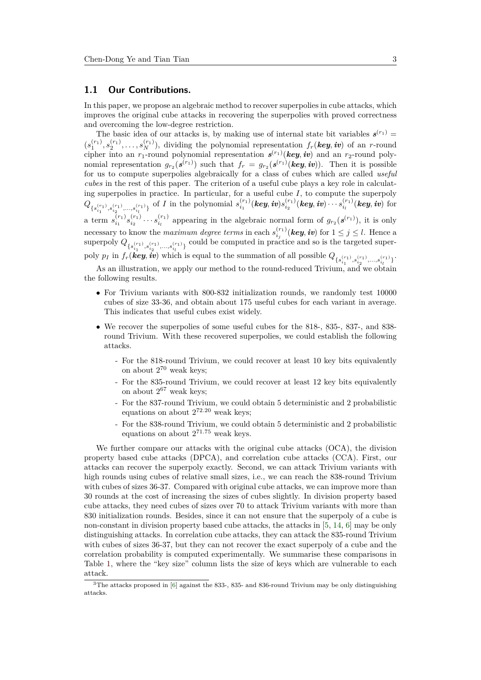## **1.1 Our Contributions.**

In this paper, we propose an algebraic method to recover superpolies in cube attacks, which improves the original cube attacks in recovering the superpolies with proved correctness and overcoming the low-degree restriction.

The basic idea of our attacks is, by making use of internal state bit variables  $s^{(r_1)}$  =  $(s_1^{(r_1)}, s_2^{(r_1)}, \ldots, s_N^{(r_1)}),$  dividing the polynomial representation  $f_r(key, iv)$  of an *r*-round cipher into an  $r_1$ -round polynomial representation  $s^{(r_1)}$  (*key, iv*) and an  $r_2$ -round polynomial representation  $g_{r_2}(s^{(r_1)})$  such that  $f_r = g_{r_2}(s^{(r_1)}(key, iv))$ . Then it is possible for us to compute superpolies algebraically for a class of cubes which are called *useful cubes* in the rest of this paper. The criterion of a useful cube plays a key role in calculating superpolies in practice. In particular, for a useful cube *I*, to compute the superpoly  $Q_{\{s_{i_1}^{(r_1)},s_{i_2}^{(r_1)},...,s_{i_l}^{(r_1)}\}}$  of I in the polynomial  $s_{i_1}^{(r_1)}(\textit{key},\textit{iv})s_{i_2}^{(r_1)}(\textit{key},\textit{iv})\cdots s_{i_l}^{(r_1)}(\textit{key},\textit{iv})$  for a term  $s_{i_1}^{(r_1)} s_{i_2}^{(r_1)} \cdots s_{i_l}^{(r_l)}$  appearing in the algebraic normal form of  $g_{r_2}(s^{(r_1)})$ , it is only necessary to know the *maximum degree terms* in each  $s_{i_j}^{(r_1)}$  (*key, iv*) for  $1 \leq j \leq l$ . Hence a superpoly  $Q_{\{s_{i_1}^{(r_1)},s_{i_2}^{(r_1)},\ldots,s_{i_l}^{(r_1)}\}}$  could be computed in practice and so is the targeted superpoly  $p_I$  in  $f_r(\textit{key}, \textit{iv})$  which is equal to the summation of all possible  $Q_{\{s_{i_1}^{(r_1)}, s_{i_2}^{(r_1)}, \ldots, s_{i_l}^{(r_1)}\}}$ .

As an illustration, we apply our method to the round-reduced Trivium, and we obtain the following results.

- For Trivium variants with 800-832 initialization rounds, we randomly test 10000 cubes of size 33-36, and obtain about 175 useful cubes for each variant in average. This indicates that useful cubes exist widely.
- We recover the superpolies of some useful cubes for the 818-, 835-, 837-, and 838round Trivium. With these recovered superpolies, we could establish the following attacks.
	- For the 818-round Trivium, we could recover at least 10 key bits equivalently on about 2 <sup>70</sup> weak keys;
	- For the 835-round Trivium, we could recover at least 12 key bits equivalently on about  $2^{67}$  weak keys;
	- For the 837-round Trivium, we could obtain 5 deterministic and 2 probabilistic equations on about 2 <sup>72</sup>*.*<sup>20</sup> weak keys;
	- For the 838-round Trivium, we could obtain 5 deterministic and 2 probabilistic equations on about 2 <sup>71</sup>*.*<sup>75</sup> weak keys.

We further compare our attacks with the original cube attacks (OCA), the division property based cube attacks (DPCA), and correlation cube attacks (CCA). First, our attacks can recover the superpoly exactly. Second, we can attack Trivium variants with high rounds using cubes of relative small sizes, i.e., we can reach the 838-round Trivium with cubes of sizes 36-37. Compared with original cube attacks, we can improve more than 30 rounds at the cost of increasing the sizes of cubes slightly. In division property based cube attacks, they need cubes of sizes over 70 to attack Trivium variants with more than 830 initialization rounds. Besides, since it can not ensure that the superpoly of a cube is non-constant in division property based cube attacks, the attacks in [5, 14, 6] may be only distinguishing attacks. In correlation cube attacks, they can attack the 835-round Trivium with cubes of sizes 36-37, but they can not recover the exact superpoly of a cube and the correlation probability is computed experimentally. We summarise these comparisons in Table 1, where the "key size" column lists the size of keys which a[re](#page-20-2) [vul](#page-21-0)[ne](#page-20-3)rable to each attack.

<sup>3</sup>The attacks proposed in [6] against the 833-, 835- and 836-round Trivium may be only distinguishing attacks.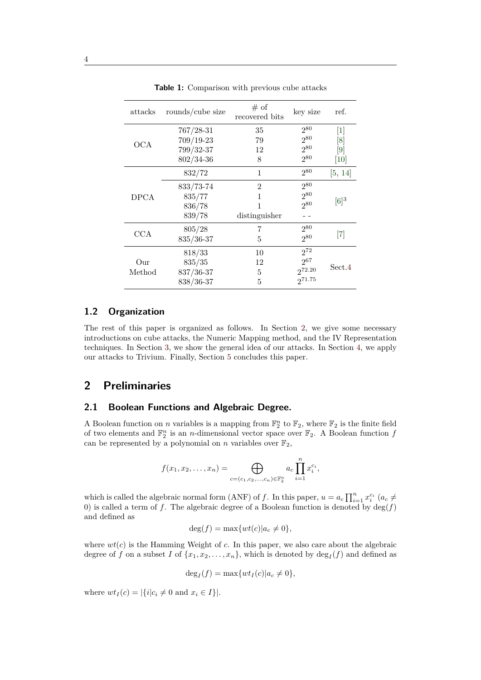| attacks     | rounds/cube size | # of<br>recovered bits | key size    | ref.                         |
|-------------|------------------|------------------------|-------------|------------------------------|
|             | $767/28 - 31$    | 35                     | $2^{80}$    | $[1]$                        |
| <b>OCA</b>  | $709/19-23$      | 79                     | $2^{80}$    | [8]                          |
|             | 799/32-37        | 12                     | $2^{80}$    | [9]                          |
|             | $802/34 - 36$    | 8                      | 280         | 10                           |
|             | 832/72           | 1                      | $2^{80}$    | [5, 14]                      |
|             | 833/73-74        | $\overline{2}$         | 280         |                              |
| <b>DPCA</b> | 835/77           | 1                      | 280         |                              |
|             | 836/78           | 1                      | 280         | $[6]^{3}$                    |
|             | 839/78           | distinguisher          |             |                              |
|             | 805/28           | 7                      | $2^{80}$    |                              |
| CCA         | 835/36-37        | 5                      | 280         | $\left\lceil 7 \right\rceil$ |
|             | 818/33           | 10                     | $2^{72}$    |                              |
| Our         | 835/35           | 12                     | $2^{67}$    |                              |
| Method      | 837/36-37        | 5                      | 272.20      | Sect.4                       |
|             | 838/36-37        | 5                      | $2^{71.75}$ |                              |

**Table 1:** Comparison with previous cube attacks

## **1.2 Organization**

The rest of this paper is organized as follows. In Section 2, we give some necessary introductions on cube attacks, the Numeric Mapping method, and the IV Representation techniques. In Section 3, we show the general idea of our attacks. In Section 4, we apply our attacks to Trivium. Finally, Section 5 concludes this paper.

# **2 Preliminari[es](#page-6-0)**

## **2.1 Boolean Functions and Algebraic Degree.**

A Boolean function on *n* variables is a mapping from  $\mathbb{F}_2^n$  to  $\mathbb{F}_2$ , where  $\mathbb{F}_2$  is the finite field of two elements and  $\mathbb{F}_2^n$  is an *n*-dimensional vector space over  $\mathbb{F}_2$ . A Boolean function *f* can be represented by a polynomial on *n* variables over  $\mathbb{F}_2$ ,

$$
f(x_1, x_2,..., x_n) = \bigoplus_{c=(c_1, c_2,..., c_n) \in \mathbb{F}_2^n} a_c \prod_{i=1}^n x_i^{c_i},
$$

which is called the algebraic normal form (ANF) of *f*. In this paper,  $u = a_c \prod_{i=1}^n x_i^{c_i}$  ( $a_c \neq$ 0) is called a term of f. The algebraic degree of a Boolean function is denoted by  $\deg(f)$ and defined as

$$
\deg(f) = \max\{wt(c)|a_c \neq 0\},\
$$

where  $wt(c)$  is the Hamming Weight of *c*. In this paper, we also care about the algebraic degree of *f* on a subset *I* of  $\{x_1, x_2, \ldots, x_n\}$ , which is denoted by  $\deg_I(f)$  and defined as

$$
\deg_I(f) = \max\{wt_I(c)|a_c \neq 0\},\
$$

where  $wt_I(c) = |\{i|c_i \neq 0 \text{ and } x_i \in I\}|.$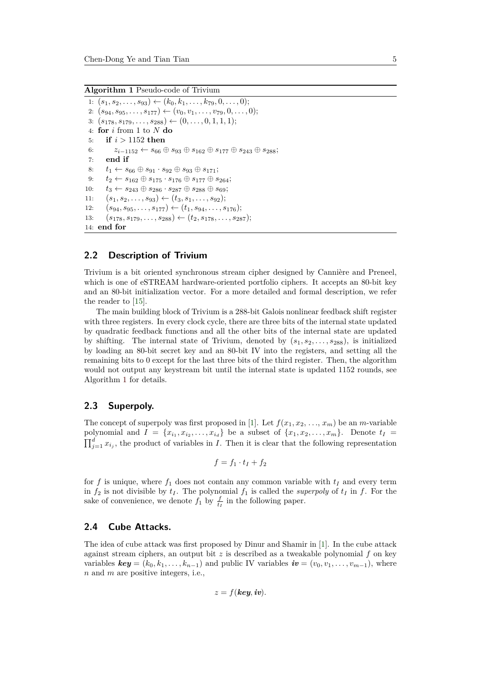#### **Algorithm 1** Pseudo-code of Trivium

```
1: (s_1, s_2, \ldots, s_{93}) ← (k_0, k_1, \ldots, k_{79}, 0, \ldots, 0);2: (s_{94}, s_{95}, \ldots, s_{177}) \leftarrow (v_0, v_1, \ldots, v_{79}, 0, \ldots, 0);3: (s_{178}, s_{179}, \ldots, s_{288}) \leftarrow (0, \ldots, 0, 1, 1, 1);4: for i from 1 to N do
5: if i > 1152 then
6: z_{i-1152} \leftarrow s_{66} \oplus s_{93} \oplus s_{162} \oplus s_{177} \oplus s_{243} \oplus s_{288};
7: end if
8: t_1 \leftarrow s_{66} \oplus s_{91} \cdot s_{92} \oplus s_{93} \oplus s_{171};9: t_2 \leftarrow s_{162} \oplus s_{175} \cdot s_{176} \oplus s_{177} \oplus s_{264};10: t_3 \leftarrow s_{243} \oplus s_{286} \cdot s_{287} \oplus s_{288} \oplus s_{69};11: (s_1, s_2, \ldots, s_{93}) \leftarrow (t_3, s_1, \ldots, s_{92});12: (s_{94}, s_{95}, \ldots, s_{177}) \leftarrow (t_1, s_{94}, \ldots, s_{176});13: (s_{178}, s_{179}, \ldots, s_{288}) \leftarrow (t_2, s_{178}, \ldots, s_{287});14: end for
```
## **2.2 Description of Trivium**

Trivium is a bit oriented synchronous stream cipher designed by Cannière and Preneel, which is one of eSTREAM hardware-oriented portfolio ciphers. It accepts an 80-bit key and an 80-bit initialization vector. For a more detailed and formal description, we refer the reader to [15].

The main building block of Trivium is a 288-bit Galois nonlinear feedback shift register with three registers. In every clock cycle, there are three bits of the internal state updated by quadratic feedback functions and all the other bits of the internal state are updated by shifting. [The](#page-21-1) internal state of Trivium, denoted by (*s*1*, s*2*, . . . , s*288), is initialized by loading an 80-bit secret key and an 80-bit IV into the registers, and setting all the remaining bits to 0 except for the last three bits of the third register. Then, the algorithm would not output any keystream bit until the internal state is updated 1152 rounds, see Algorithm 1 for details.

### **2.3 Superpoly.**

The conce[pt](#page-4-0) of superpoly was first proposed in [1]. Let  $f(x_1, x_2, \ldots, x_m)$  be an *m*-variable polynomial and  $I = \{x_{i_1}, x_{i_2}, \ldots, x_{i_d}\}$  be a subset of  $\{x_1, x_2, \ldots, x_m\}$ . Denote  $t_I =$  $\prod_{j=1}^{d} x_{i_j}$ , the product of variables in *I*. Then it is clear that the following representation

$$
f = f_1 \cdot t_I + f_2
$$

for f is unique, where  $f_1$  does not contain any common variable with  $t_I$  and every term in  $f_2$  is not divisible by  $t_I$ . The polynomial  $f_1$  is called the *superpoly* of  $t_I$  in  $f$ . For the sake of convenience, we denote  $f_1$  by  $\frac{f}{t_I}$  in the following paper.

## **2.4 Cube Attacks.**

The idea of cube attack was first proposed by Dinur and Shamir in [1]. In the cube attack against stream ciphers, an output bit *z* is described as a tweakable polynomial *f* on key variables  $key = (k_0, k_1, \ldots, k_{n-1})$  and public IV variables  $iv = (v_0, v_1, \ldots, v_{m-1})$ , where *n* and *m* are positive integers, i.e.,

$$
z = f(\mathbf{key}, \mathbf{iv}).
$$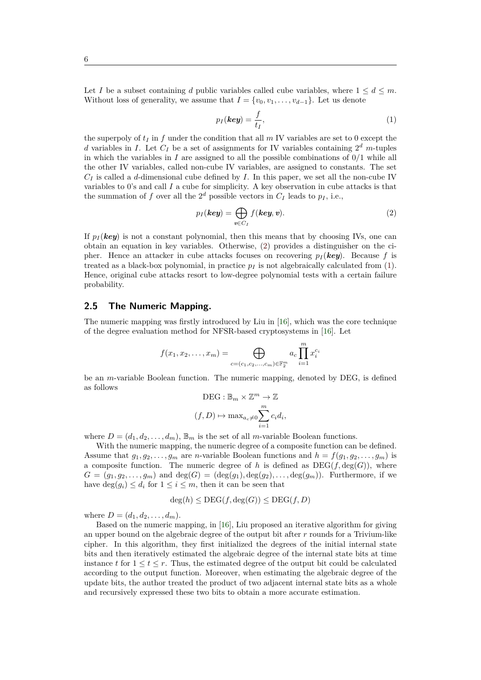6

Let *I* be a subset containing *d* public variables called cube variables, where  $1 \leq d \leq m$ . Without loss of generality, we assume that  $I = \{v_0, v_1, \ldots, v_{d-1}\}$ . Let us denote

<span id="page-5-0"></span>
$$
p_I(\mathbf{key}) = \frac{f}{t_I},\tag{1}
$$

the superpoly of  $t_I$  in  $f$  under the condition that all  $m$  IV variables are set to 0 except the *d* variables in *I*. Let *C<sup>I</sup>* be a set of assignments for IV variables containing 2 *<sup>d</sup> m*-tuples in which the variables in  $I$  are assigned to all the possible combinations of  $0/1$  while all the other IV variables, called non-cube IV variables, are assigned to constants. The set *C<sup>I</sup>* is called a *d*-dimensional cube defined by *I*. In this paper, we set all the non-cube IV variables to 0's and call *I* a cube for simplicity. A key observation in cube attacks is that the summation of *f* over all the  $2^d$  possible vectors in  $C_I$  leads to  $p_I$ , i.e.,

$$
p_I(\mathbf{key}) = \bigoplus_{v \in C_I} f(\mathbf{key}, v).
$$
 (2)

If  $p_I$  (*key*) is not a constant polynomial, then this means that by choosing IVs, one can obtain an equation in key variables. Otherwise, (2) provides a distinguisher on the cipher. Hence an attacker in cube attacks focuses on recovering  $p_I$  (*key*). Because f is treated as a black-box polynomial, in practice  $p_I$  is not algebraically calculated from  $(1)$ . Hence, original cube attacks resort to low-degree polynomial tests with a certain failure probability.

## **2.5 The Numeric Mapping.**

The numeric mapping was firstly introduced by Liu in [16], which was the core technique of the degree evaluation method for NFSR-based cryptosystems in [16]. Let

$$
f(x_1, x_2,..., x_m) = \bigoplus_{c=(c_1, c_2,..., c_m) \in \mathbb{F}_2^m} a_c \prod_{i=1}^m x_i^{c_i}
$$

be an *m*-variable Boolean function. The numeric mapping, denote[d b](#page-21-2)y DEG, is defined as follows

$$
DEG: \mathbb{B}_m \times \mathbb{Z}^m \to \mathbb{Z}
$$

$$
(f, D) \mapsto \max_{a_c \neq 0} \sum_{i=1}^m c_i d_i
$$

*,*

where  $D = (d_1, d_2, \ldots, d_m)$ ,  $\mathbb{B}_m$  is the set of all *m*-variable Boolean functions.

With the numeric mapping, the numeric degree of a composite function can be defined. Assume that  $g_1, g_2, \ldots, g_m$  are *n*-variable Boolean functions and  $h = f(g_1, g_2, \ldots, g_m)$  is a composite function. The numeric degree of h is defined as  $DEG(f, deg(G))$ , where  $G = (g_1, g_2, \ldots, g_m)$  and  $\deg(G) = (\deg(g_1), \deg(g_2), \ldots, \deg(g_m))$ . Furthermore, if we have  $\deg(g_i) \leq d_i$  for  $1 \leq i \leq m$ , then it can be seen that

$$
\deg(h) \le \text{DEG}(f, \deg(G)) \le \text{DEG}(f, D)
$$

where  $D = (d_1, d_2, \ldots, d_m)$ .

Based on the numeric mapping, in [16], Liu proposed an iterative algorithm for giving an upper bound on the algebraic degree of the output bit after *r* rounds for a Trivium-like cipher. In this algorithm, they first initialized the degrees of the initial internal state bits and then iteratively estimated the algebraic degree of the internal state bits at time instance t for  $1 \leq t \leq r$ . Thus, the esti[ma](#page-21-2)ted degree of the output bit could be calculated according to the output function. Moreover, when estimating the algebraic degree of the update bits, the author treated the product of two adjacent internal state bits as a whole and recursively expressed these two bits to obtain a more accurate estimation.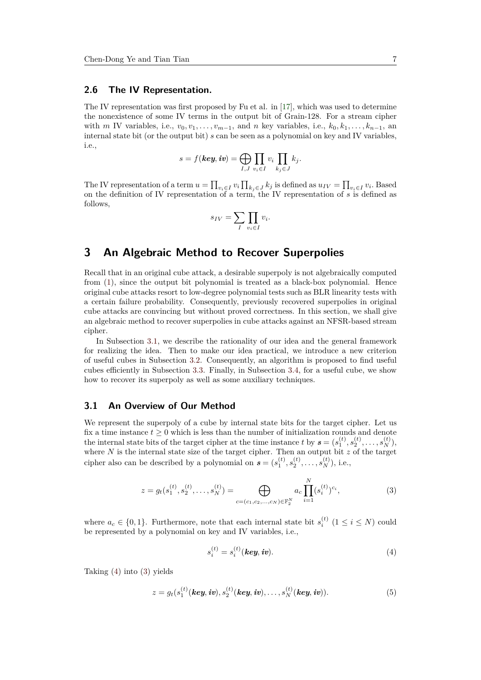## **2.6 The IV Representation.**

The IV representation was first proposed by Fu et al. in [17], which was used to determine the nonexistence of some IV terms in the output bit of Grain-128. For a stream cipher with *m* IV variables, i.e.,  $v_0, v_1, \ldots, v_{m-1}$ , and *n* key variables, i.e.,  $k_0, k_1, \ldots, k_{n-1}$ , an internal state bit (or the output bit) *s* can be seen as a polynomial on key and IV variables, i.e.,

$$
s = f(\textbf{key}, \textbf{iv}) = \bigoplus_{I, J} \prod_{v_i \in I} v_i \prod_{k_j \in J} k_j.
$$

The IV representation of a term  $u = \prod_{v_i \in I} v_i \prod_{k_j \in J} k_j$  is defined as  $u_{IV} = \prod_{v_i \in I} v_i$ . Based on the definition of IV representation of a term, the IV representation of *s* is defined as follows,

$$
s_{IV} = \sum_{I} \prod_{v_i \in I} v_i.
$$

# **3 An Algebraic Method to Recover Superpolies**

<span id="page-6-0"></span>Recall that in an original cube attack, a desirable superpoly is not algebraically computed from (1), since the output bit polynomial is treated as a black-box polynomial. Hence original cube attacks resort to low-degree polynomial tests such as BLR linearity tests with a certain failure probability. Consequently, previously recovered superpolies in original cube attacks are convincing but without proved correctness. In this section, we shall give an alg[eb](#page-5-0)raic method to recover superpolies in cube attacks against an NFSR-based stream cipher.

In Subsection 3.1, we describe the rationality of our idea and the general framework for realizing the idea. Then to make our idea practical, we introduce a new criterion of useful cubes in Subsection 3.2. Consequently, an algorithm is proposed to find useful cubes efficiently in Subsection 3.3. Finally, in Subsection 3.4, for a useful cube, we show how to recover its [sup](#page-6-1)erpoly as well as some auxiliary techniques.

## **3.1 An Overview of O[u](#page-8-0)[r M](#page-10-0)ethod**

<span id="page-6-1"></span>We represent the superpoly of a cube by internal state bits for the target cipher. Let us fix a time instance  $t \geq 0$  which is less than the number of initialization rounds and denote the internal state bits of the target cipher at the time instance *t* by  $\mathbf{s} = (s_1^{(t)}, s_2^{(t)}, \dots, s_N^{(t)}),$ where *N* is the internal state size of the target cipher. Then an output bit *z* of the target cipher also can be described by a polynomial on  $\mathbf{s} = (s_1^{(t)}, s_2^{(t)}, \dots, s_N^{(t)})$ , i.e.,

$$
z = g_t(s_1^{(t)}, s_2^{(t)}, \dots, s_N^{(t)}) = \bigoplus_{c = (c_1, c_2, \dots, c_N) \in \mathbb{F}_2^N} a_c \prod_{i=1}^N (s_i^{(t)})^{c_i},
$$
\n(3)

where  $a_c \in \{0, 1\}$ . Furthermore, note that each internal state bit  $s_i^{(t)}$   $(1 \le i \le N)$  could be represented by a polynomial on key and IV variables, i.e.,

$$
s_i^{(t)} = s_i^{(t)}(key, iv).
$$
 (4)

Taking (4) into (3) yields

$$
z = g_t(s_1^{(t)}(\textit{key}, \textit{iv}), s_2^{(t)}(\textit{key}, \textit{iv}), \dots, s_N^{(t)}(\textit{key}, \textit{iv})).
$$
 (5)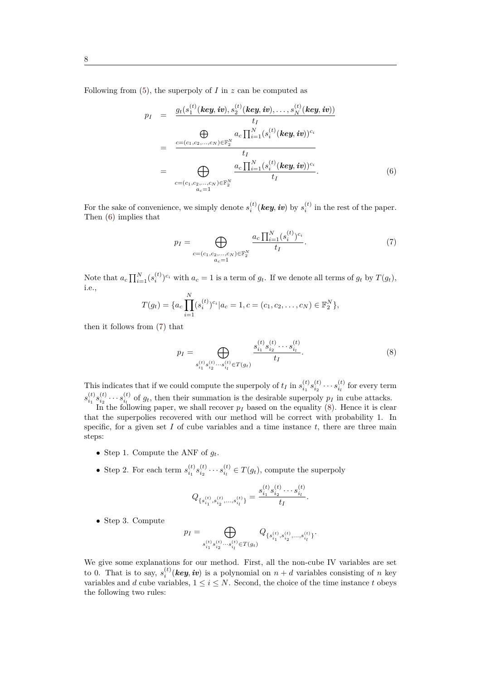Following from (5), the superpoly of *I* in *z* can be computed as

$$
p_{I} = \frac{g_{t}(s_{1}^{(t)}(\text{key}, \text{iv}), s_{2}^{(t)}(\text{key}, \text{iv}), \dots, s_{N}^{(t)}(\text{key}, \text{iv}))}{t_{I}}
$$
\n
$$
= \frac{\bigoplus \limits_{c=(c_{1}, c_{2}, \dots, c_{N}) \in \mathbb{F}_{2}^{N}} a_{c} \prod_{i=1}^{N} (s_{i}^{(t)}(\text{key}, \text{iv}))^{c_{i}}}{t_{I}}
$$
\n
$$
= \bigoplus \limits_{c=(c_{1}, c_{2}, \dots, c_{N}) \in \mathbb{F}_{2}^{N}} \frac{a_{c} \prod_{i=1}^{N} (s_{i}^{(t)}(\text{key}, \text{iv}))^{c_{i}}}{t_{I}}.
$$
\n(6)

For the sake of convenience, we simply denote  $s_i^{(t)}$  (*key*, *iv*) by  $s_i^{(t)}$  in the rest of the paper. Then (6) implies that

$$
p_I = \bigoplus_{\substack{c = (c_1, c_2, \dots, c_N) \in \mathbb{F}_2^N \\ a_c = 1}} \frac{a_c \prod_{i=1}^N (s_i^{(t)})^{c_i}}{t_I}.
$$
 (7)

Note that  $a_c \prod_{i=1}^{N} (s_i^{(t)})^{c_i}$  with  $a_c = 1$  is a term of  $g_t$ . If we denote all terms of  $g_t$  by  $T(g_t)$ , i.e.,

$$
T(g_t) = \{a_c \prod_{i=1}^N (s_i^{(t)})^{c_i} | a_c = 1, c = (c_1, c_2, \dots, c_N) \in \mathbb{F}_2^N\},\
$$

then it follows from (7) that

$$
p_I = \bigoplus_{\substack{s_{i_1}^{(t)} s_{i_2}^{(t)} \cdots s_{i_l}^{(t)} \in T(g_t)}} \frac{s_{i_1}^{(t)} s_{i_2}^{(t)} \cdots s_{i_l}^{(t)}}{t_I}.
$$
\n
$$
(8)
$$

This indicates that if we could compute the superpoly of  $t_I$  in  $s_{i_1}^{(t)} s_{i_2}^{(t)} \cdots s_{i_l}^{(t)}$  for every term  $s_{i_1}^{(t)} s_{i_2}^{(t)} \cdots s_{i_l}^{(t)}$  of  $g_t$ , then their summation is the desirable superpoly  $p_I$  in cube attacks.

In the following paper, we shall recover  $p_I$  based on the equality  $(8)$ . Hence it is clear that the superpolies recovered with our method will be correct with probability 1. In specific, for a given set  $I$  of cube variables and a time instance  $t$ , there are three main steps:

- Step 1. Compute the ANF of  $g_t$ .
- Step 2. For each term  $s_{i_1}^{(t)} s_{i_2}^{(t)} \cdots s_{i_l}^{(t)} \in T(g_t)$ , compute the superpoly

$$
Q_{\{s_{i_1}^{(t)},s_{i_2}^{(t)},...,s_{i_l}^{(t)}\}}=\frac{s_{i_1}^{(t)}s_{i_2}^{(t)}\cdots s_{i_l}^{(t)}}{t_I}.
$$

*•* Step 3. Compute

$$
p_I=\bigoplus_{s_{i_1}^{(t)}s_{i_2}^{(t)}\ldots s_{i_l}^{(t)}\in T(g_t)}Q_{\{s_{i_1}^{(t)},s_{i_2}^{(t)},\ldots, s_{i_l}^{(t)}\}}.
$$

We give some explanations for our method. First, all the non-cube IV variables are set to 0. That is to say,  $s_i^{(t)}$  (*key*, *iv*) is a polynomial on  $n + d$  variables consisting of *n* key variables and *d* cube variables,  $1 \leq i \leq N$ . Second, the choice of the time instance *t* obeys the following two rules: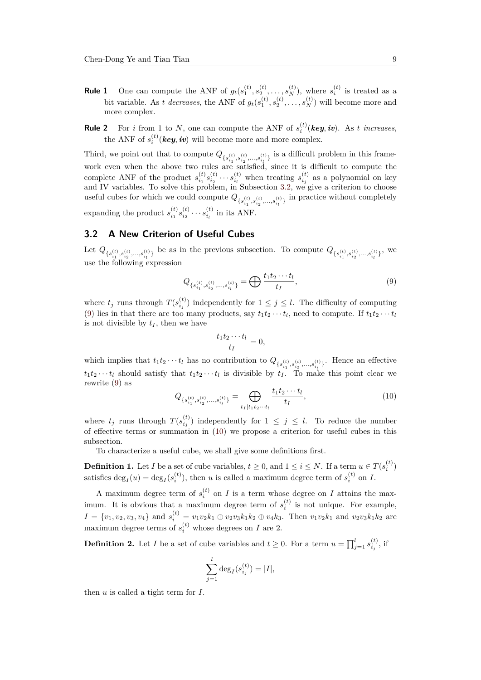- **Rule 1** One can compute the ANF of  $g_t(s_1^{(t)}, s_2^{(t)}, \ldots, s_N^{(t)})$ , where  $s_i^{(t)}$  is treated as a bit variable. As *t decreases*, the ANF of  $g_t(s_1^{(t)}, s_2^{(t)}, \ldots, s_N^{(t)})$  will become more and more complex.
- **Rule 2** For *i* from 1 to *N*, one can compute the ANF of  $s_i^{(t)}$  (key, *iv*). As *t increases*, the ANF of  $s_i^{(t)}$  (*key*, *iv*) will become more and more complex.

Third, we point out that to compute  $Q_{\{s_{i_1}^{(t)}, s_{i_2}^{(t)}, \ldots, s_{i_l}^{(t)}\}}$  is a difficult problem in this framework even when the above two rules are satisfied, since it is difficult to compute the complete ANF of the product  $s_{i_1}^{(t)} s_{i_2}^{(t)} \cdots s_{i_l}^{(t)}$  when treating  $s_{i_j}^{(t)}$  as a polynomial on key and IV variables. To solve this problem, in Subsection 3.2, we give a criterion to choose useful cubes for which we could compute  $Q_{\{s_{i_1}^{(t)}, s_{i_2}^{(t)}, ..., s_{i_l}^{(t)}\}}$  in practice without completely expanding the product  $s_{i_1}^{(t)} s_{i_2}^{(t)} \cdots s_{i_l}^{(t)}$  in its ANF.

## **3.2 A New Criterion of Useful Cubes**

<span id="page-8-0"></span>Let  $Q_{\{s_{i_1}^{(t)}, s_{i_2}^{(t)}, ..., s_{i_l}^{(t)}\}}$  be as in the previous subsection. To compute  $Q_{\{s_{i_1}^{(t)}, s_{i_2}^{(t)}, ..., s_{i_l}^{(t)}\}}$ , we use the following expression

$$
Q_{\{s_{i_1}^{(t)}, s_{i_2}^{(t)}, \dots, s_{i_l}^{(t)}\}} = \bigoplus \frac{t_1 t_2 \cdots t_l}{t_I},
$$
\n(9)

where  $t_j$  runs through  $T(s_{i_j}^{(t)})$  independently for  $1 \leq j \leq l$ . The difficulty of computing (9) lies in that there are too many products, say  $t_1t_2 \cdots t_l$ , need to compute. If  $t_1t_2 \cdots t_l$ is not divisible by  $t_I$ , then we have

$$
\frac{t_1t_2\cdots t_l}{t_I}=0,
$$

which implies that  $t_1t_2 \cdots t_l$  has no contribution to  $Q_{\{s_{i_1}^{(t)}, s_{i_2}^{(t)}, \dots, s_{i_l}^{(t)}\}}$ . Hence an effective  $t_1 t_2 \cdots t_l$  should satisfy that  $t_1 t_2 \cdots t_l$  is divisible by  $t_I$ . To make this point clear we rewrite (9) as

<span id="page-8-1"></span>
$$
Q_{\{s_{i_1}^{(t)}, s_{i_2}^{(t)}, \dots, s_{i_l}^{(t)}\}} = \bigoplus_{t_I \mid t_1 t_2 \dots t_l} \frac{t_1 t_2 \dots t_l}{t_I},\tag{10}
$$

where  $t_j$  runs through  $T(s_{i_j}^{(t)})$  independently for  $1 \leq j \leq l$ . To reduce the number of effective terms or summation in (10) we propose a criterion for useful cubes in this subsection.

To characterize a useful cube, we shall give some definitions first.

**Definition 1.** Let *I* be a set of cube [var](#page-8-1)iables,  $t \geq 0$ , and  $1 \leq i \leq N$ . If a term  $u \in T(s_i^{(t)})$ satisfies  $\deg_I(u) = \deg_I(s_i^{(t)})$ , then *u* is called a maximum degree term of  $s_i^{(t)}$  on *I*.

A maximum degree term of  $s_i^{(t)}$  on *I* is a term whose degree on *I* attains the maximum. It is obvious that a maximum degree term of  $s_i^{(t)}$  is not unique. For example,  $I = \{v_1, v_2, v_3, v_4\}$  and  $s_i^{(t)} = v_1v_2k_1 \oplus v_2v_3k_1k_2 \oplus v_4k_3$ . Then  $v_1v_2k_1$  and  $v_2v_3k_1k_2$  are maximum degree terms of  $s_i^{(t)}$  whose degrees on *I* are 2.

**Definition 2.** Let *I* be a set of cube variables and  $t \geq 0$ . For a term  $u = \prod_{j=1}^{l} s_{i_j}^{(t)}$ , if

$$
\sum_{j=1}^{l} \deg_{I}(s_{i_j}^{(t)}) = |I|,
$$

then *u* is called a tight term for *I*.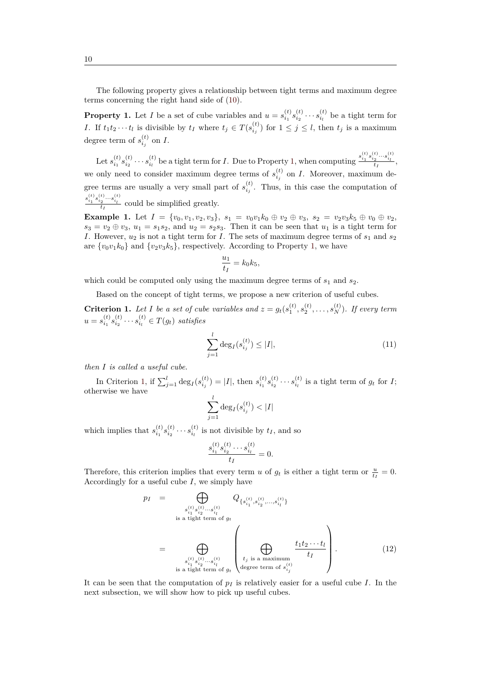The following property gives a relationship between tight terms and maximum degree terms concerning the right hand side of (10).

**Property 1.** Let *I* be a set of cube variables and  $u = s_{i_1}^{(t)} s_{i_2}^{(t)} \cdots s_{i_l}^{(t)}$  be a tight term for *I*. If  $t_1t_2\cdots t_l$  is divisible by  $t_I$  where  $t_j \in T(s_{i_j}^{(t)})$  for  $1 \leq j \leq l$ , then  $t_j$  is a maximum degree term of  $s_{i_j}^{(t)}$  on *I*.

<span id="page-9-0"></span>Let  $s_{i_1}^{(t)} s_{i_2}^{(t)} \cdots s_{i_l}^{(t)}$  be a tight term for *I*. Due to Property 1, when computing  $\frac{s_{i_1}^{(t)} s_{i_2}^{(t)} \cdots s_{i_l}^{(t)}}{t_I}$ we only need to consider maximum degree terms of  $s_{i_j}^{(t)}$  on *I*. Moreover, maximum degree terms are usually a very small part of  $s_{i_j}^{(t)}$ . Thus, in this case the computation of  $\frac{s_{i_1}^{(t)} s_{i_2}^{(t)} \cdots s_{i_l}^{(t)}}{t_I}$  could be simplified greatly.

**Example 1.** Let  $I = \{v_0, v_1, v_2, v_3\}, s_1 = v_0v_1k_0 \oplus v_2 \oplus v_3, s_2 = v_2v_3k_5 \oplus v_0 \oplus v_2,$  $s_3 = v_2 \oplus v_3$ ,  $u_1 = s_1 s_2$ , and  $u_2 = s_2 s_3$ . Then it can be seen that  $u_1$  is a tight term for *I*. However,  $u_2$  is not a tight term for *I*. The sets of maximum degree terms of  $s_1$  and  $s_2$ are  $\{v_0v_1k_0\}$  and  $\{v_2v_3k_5\}$ , respectively. According to Property 1, we have

$$
\frac{u_1}{t_I} = k_0 k_5,
$$

which could be computed only using the maximum degree term[s o](#page-9-0)f  $s_1$  and  $s_2$ .

Based on the concept of tight terms, we propose a new criterion of useful cubes.

**Criterion 1.** Let I be a set of cube variables and  $z = g_t(s_1^{(t)}, s_2^{(t)}, \ldots, s_N^{(t)})$ . If every term  $u = s_{i_1}^{(t)} s_{i_2}^{(t)} \cdots s_{i_l}^{(t)} \in T(g_t)$  satisfies

$$
\sum_{j=1}^{l} \deg_{I}(s_{i_j}^{(t)}) \le |I|,\tag{11}
$$

<span id="page-9-1"></span>*then I is called a useful cube.*

In Criterion 1, if  $\sum_{j=1}^{l} \deg_I(s_{i_j}^{(t)}) = |I|$ , then  $s_{i_1}^{(t)} s_{i_2}^{(t)} \cdots s_{i_l}^{(t)}$  is a tight term of  $g_t$  for  $I$ ; otherwise we have *l*

$$
\sum_{j=1}^{l} \deg_I(s_{i_j}^{(t)}) < |I|
$$

which implies that  $s_{i_1}^{(t)} s_{i_2}^{(t)} \cdots s_{i_l}^{(t)}$  is not divisible by  $t_I$ , and so

$$
\frac{s_{i_1}^{(t)} s_{i_2}^{(t)} \cdots s_{i_l}^{(t)}}{t_I} = 0.
$$

Therefore, this criterion implies that every term *u* of  $g_t$  is either a tight term or  $\frac{u}{t_I} = 0$ . Accordingly for a useful cube *I*, we simply have

<span id="page-9-2"></span>
$$
p_I = \bigoplus_{\substack{s_{i_1}^{(t)} s_{i_2}^{(t)} \cdots s_{i_l}^{(t)} \\ \text{is a tight term of } g_t}} Q_{\{s_{i_1}^{(t)}, s_{i_2}^{(t)} \cdots s_{i_l}^{(t)}\}}
$$
\n
$$
= \bigoplus_{\substack{s_{i_1}^{(t)} s_{i_2}^{(t)} \cdots s_{i_l}^{(t)} \\ \text{is a tight term of } g_t}} \left( \bigoplus_{\substack{t_j \text{ is a maximum} \\ \text{degree term of } s_{i_j}^{(t)}}} \frac{t_1 t_2 \cdots t_l}{t_I} \right). \tag{12}
$$

It can be seen that the computation of *p<sup>I</sup>* is relatively easier for a useful cube *I*. In the next subsection, we will show how to pick up useful cubes.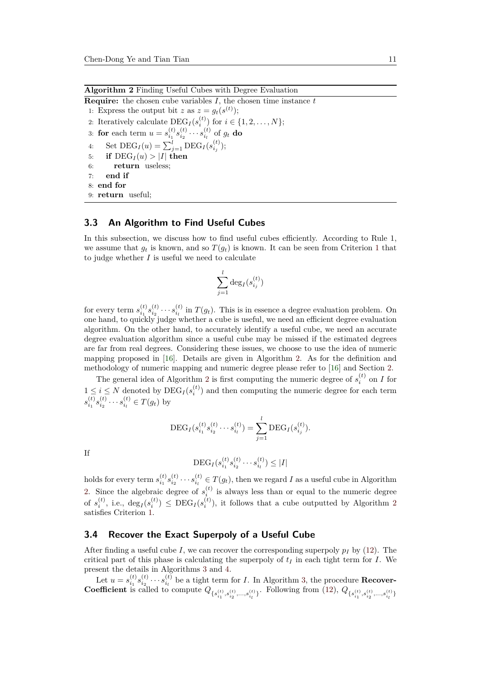**Algorithm 2** Finding Useful Cubes with Degree Evaluation

<span id="page-10-1"></span>**Require:** the chosen cube variables *I*, the chosen time instance *t* 1: Express the output bit *z* as  $z = g_t(s^{(t)})$ ; 2: Iteratively calculate  $\text{DEG}_I(s_i^{(t)})$  for  $i \in \{1, 2, ..., N\}$ ; 3: **for** each term  $u = s_{i_1}^{(t)} s_{i_2}^{(t)} \cdots s_{i_l}^{(t)}$  of  $g_t$  do 4: Set  $\text{DEG}_I(u) = \sum_{j=1}^l \text{DEG}_I(s_{i_j}^{(t)})$ ; 5: **if**  $\text{DEG}_I(u) > |I|$  then 6: **return** useless; 7: **end if** 8: **end for** 9: **return** useful;

## **3.3 An Algorithm to Find Useful Cubes**

<span id="page-10-0"></span>In this subsection, we discuss how to find useful cubes efficiently. According to Rule 1, we assume that  $g_t$  is known, and so  $T(g_t)$  is known. It can be seen from Criterion 1 that to judge whether *I* is useful we need to calculate

$$
\sum_{j=1}^l \deg_I(s_{i_j}^{(t)})
$$

for every term  $s_{i_1}^{(t)} s_{i_2}^{(t)} \cdots s_{i_l}^{(t)}$  in  $T(g_t)$ . This is in essence a degree evaluation problem. On one hand, to quickly judge whether a cube is useful, we need an efficient degree evaluation algorithm. On the other hand, to accurately identify a useful cube, we need an accurate degree evaluation algorithm since a useful cube may be missed if the estimated degrees are far from real degrees. Considering these issues, we choose to use the idea of numeric mapping proposed in [16]. Details are given in Algorithm 2. As for the definition and methodology of numeric mapping and numeric degree please refer to [16] and Section 2.

The general idea of Algorithm 2 is first computing the numeric degree of  $s_i^{(t)}$  on *I* for  $1 \leq i \leq N$  denoted by  $\text{DEG}_I(s_i^{(t)})$  and then computing the numeric degree for each term  $s_{i_1}^{(t)} s_{i_2}^{(t)} \cdots s_{i_l}^{(t)} \in T(g_t)$  [by](#page-21-2)

$$
\mathrm{DEG}_{I}(s_{i_1}^{(t)}s_{i_2}^{(t)}\cdots s_{i_l}^{(t)})=\sum_{j=1}^l \mathrm{DEG}_{I}(s_{i_j}^{(t)}).
$$

If

$$
\mathrm{DEG}_{I}(s_{i_1}^{(t)}s_{i_2}^{(t)}\cdots s_{i_l}^{(t)})\leq |I|
$$

holds for every term  $s_{i_1}^{(t)} s_{i_2}^{(t)} \cdots s_{i_l}^{(t)} \in T(g_t)$ , then we regard *I* as a useful cube in Algorithm 2. Since the algebraic degree of  $s_i^{(t)}$  is always less than or equal to the numeric degree of  $s_i^{(t)}$ , i.e.,  $\deg_I(s_i^{(t)}) \leq \text{DEC}_I(s_i^{(t)})$ , it follows that a cube outputted by Algorithm 2 satisfies Criterion 1.

## **[3](#page-10-1).4 Recover the Exact Superpoly of a Useful Cube**

After finding a us[efu](#page-9-1)l cube *I*, we can recover the corresponding superpoly  $p_I$  by (12). The critical part of this phase is calculating the superpoly of  $t_I$  in each tight term for *I*. We present the details in Algorithms 3 and 4.

<span id="page-10-2"></span>Let  $u = s_{i_1}^{(t)} s_{i_2}^{(t)} \cdots s_{i_l}^{(t)}$  be a tight term for *I*. In Algorithm 3, the procedure **RecoverCoefficien[t](#page-9-2)** is called to compute  $Q_{\{s_{i_1}^{(t)}, s_{i_2}^{(t)}, ..., s_{i_l}^{(t)}\}}$ . Following from (12),  $Q_{\{s_{i_1}^{(t)}, s_{i_2}^{(t)}, ..., s_{i_l}^{(t)}\}}$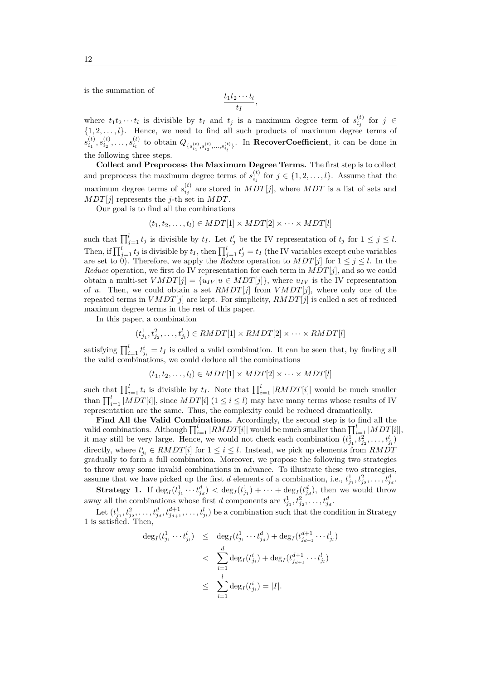is the summation of

$$
\frac{t_1t_2\cdots t_l}{t_I},
$$

where  $t_1 t_2 \cdots t_l$  is divisible by  $t_I$  and  $t_j$  is a maximum degree term of  $s_{i_j}^{(t)}$  for  $j \in$  $\{1, 2, \ldots, l\}$ . Hence, we need to find all such products of maximum degree terms of  $s_{i_1}^{(t)}, s_{i_2}^{(t)}, \ldots, s_{i_l}^{(t)}$  to obtain  $Q_{\{s_{i_1}^{(t)}, s_{i_2}^{(t)}, \ldots, s_{i_l}^{(t)}\}}$ . In **RecoverCoefficient**, it can be done in the following three steps.

**Collect and Preprocess the Maximum Degree Terms.** The first step is to collect and preprocess the maximum degree terms of  $s_{i_j}^{(t)}$  for  $j \in \{1, 2, \ldots, l\}$ . Assume that the maximum degree terms of  $s_{i_j}^{(t)}$  are stored in  $MDT[j]$ , where  $MDT$  is a list of sets and *MDT*[*j*] represents the *j*-th set in *MDT*.

Our goal is to find all the combinations

$$
(t_1, t_2, \ldots, t_l) \in MDT[1] \times MDT[2] \times \cdots \times MDT[l]
$$

such that  $\prod_{j=1}^{l} t_j$  is divisible by  $t_I$ . Let  $t'_j$  be the IV representation of  $t_j$  for  $1 \leq j \leq l$ . Then, if  $\prod_{j=1}^{l} t_j$  is divisible by  $t_I$ , then  $\prod_{j=1}^{l} t'_j = t_I$  (the IV variables except cube variables are set to 0). Therefore, we apply the *Reduce* operation to  $MDT[j]$  for  $1 \leq j \leq l$ . In the *Reduce* operation, we first do IV representation for each term in  $MDT[j]$ , and so we could obtain a multi-set  $VMDT[j] = \{u_{IV} | u \in MDT[j]\}$ , where  $u_{IV}$  is the IV representation of *u*. Then, we could obtain a set *RMDT*[*j*] from *V MDT*[*j*], where only one of the repeated terms in  $VMDT[j]$  are kept. For simplicity,  $RMDT[j]$  is called a set of reduced maximum degree terms in the rest of this paper.

In this paper, a combination

$$
(t_{j_1}^1, t_{j_2}^2, \dots, t_{j_l}^l) \in \text{RMDT}[1] \times \text{RMDT}[2] \times \dots \times \text{RMDT}[l]
$$

satisfying  $\prod_{i=1}^{l} t_{j_i}^{i} = t_I$  is called a valid combination. It can be seen that, by finding all the valid combinations, we could deduce all the combinations

$$
(t_1, t_2, \ldots, t_l) \in MDT[1] \times MDT[2] \times \cdots \times MDT[l]
$$

such that  $\prod_{i=1}^{l} t_i$  is divisible by  $t_I$ . Note that  $\prod_{i=1}^{l} |RMDT[i]|$  would be much smaller than  $\prod_{i=1}^{l} |MDT[i]|$ , since  $MDT[i]$  ( $1 \leq i \leq l$ ) may have many terms whose results of IV representation are the same. Thus, the complexity could be reduced dramatically.

Find All the Valid Combinations. Accordingly, the second step is to find all the valid combinations. Although  $\prod_{i=1}^{l} |RMDT[i]|$  would be much smaller than  $\prod_{i=1}^{l} |MDT[i]|$ , it may still be very large. Hence, we would not check each combination  $(t_{j_1}^1, t_{j_2}^2, \ldots, t_{j_l}^l)$ directly, where  $t_{j_i}^i \in \text{RMDT}[i]$  for  $1 \leq i \leq l$ . Instead, we pick up elements from  $\text{RMDT}$ gradually to form a full combination. Moreover, we propose the following two strategies to throw away some invalid combinations in advance. To illustrate these two strategies, assume that we have picked up the first *d* elements of a combination, i.e.,  $t_{j_1}^1, t_{j_2}^2, \ldots, t_{j_d}^d$ .

**Strategy 1.** If  $\deg_I(t_{j_1}^1 \cdots t_{j_d}^d) < \deg_I(t_{j_1}^1) + \cdots + \deg_I(t_{j_d}^d)$ , then we would throw away all the combinations whose first *d* components are  $t_{j_1}^1, t_{j_2}^2, \ldots, t_{j_d}^d$ .

Let  $(t_{j_1}^1, t_{j_2}^2, \ldots, t_{j_d}^d, t_{j_{d+1}}^{d+1}, \ldots, t_{j_l}^l)$  be a combination such that the condition in Strategy 1 is satisfied. Then,

$$
\begin{array}{rcl} \deg_I(t^1_{j_1}\cdots t^l_{j_l}) & \leq & \deg_I(t^1_{j_1}\cdots t^d_{j_d}) + \deg_I(t^{d+1}_{j_{d+1}}\cdots t^l_{j_l}) \\ & < & \sum_{i=1}^d \deg_I(t^i_{j_i}) + \deg_I(t^{d+1}_{j_{d+1}}\cdots t^l_{j_l}) \\ & \leq & \sum_{i=1}^l \deg_I(t^i_{j_i}) = |I|. \end{array}
$$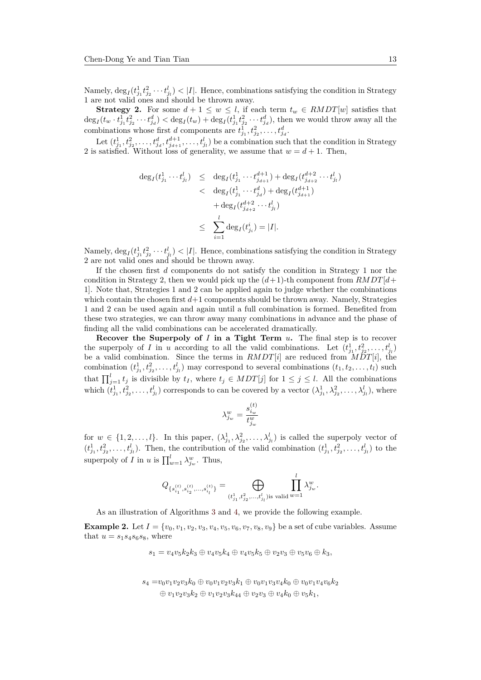Namely,  $\deg_I(t_{j_1}^1 t_{j_2}^2 \cdots t_{j_l}^l) < |I|$ . Hence, combinations satisfying the condition in Strategy 1 are not valid ones and should be thrown away.

**Strategy 2.** For some  $d + 1 \leq w \leq l$ , if each term  $t_w \in \text{RMDT}[w]$  satisfies that  $\deg_I(t_w \cdot t_{j_1}^1 t_{j_2}^2 \cdots t_{j_d}^d) < \deg_I(t_w) + \deg_I(t_{j_1}^1 t_{j_2}^2 \cdots t_{j_d}^d)$ , then we would throw away all the combinations whose first *d* components are  $t_{j_1}^1, t_{j_2}^2, \ldots, t_{j_d}^d$ .

Let  $(t_{j_1}^1, t_{j_2}^2, \ldots, t_{j_d}^d, t_{j_{d+1}}^{d+1}, \ldots, t_{j_l}^l)$  be a combination such that the condition in Strategy 2 is satisfied. Without loss of generality, we assume that  $w = d + 1$ . Then,

$$
\begin{array}{rcl} \deg_I(t^1_{j_1}\cdots t^l_{j_l}) & \leq & \deg_I(t^1_{j_1}\cdots t^{d+1}_{j_{d+1}}) + \deg_I(t^{d+2}_{j_{d+2}}\cdots t^l_{j_l}) \\ & < & \deg_I(t^1_{j_1}\cdots t^d_{j_d}) + \deg_I(t^{d+1}_{j_{d+1}}) \\ & & + \deg_I(t^{d+2}_{j_{d+2}}\cdots t^l_{j_l}) \\ & \leq & \displaystyle \sum_{i=1}^l \deg_I(t^i_{j_i}) = |I|. \end{array}
$$

Namely,  $\deg_I(t_{j_1}^1 t_{j_2}^2 \cdots t_{j_l}^l) < |I|$ . Hence, combinations satisfying the condition in Strategy 2 are not valid ones and should be thrown away.

If the chosen first *d* components do not satisfy the condition in Strategy 1 nor the condition in Strategy 2, then we would pick up the  $(d+1)$ -th component from  $RMDT[d+$ 1]. Note that, Strategies 1 and 2 can be applied again to judge whether the combinations which contain the chosen first  $d+1$  components should be thrown away. Namely, Strategies 1 and 2 can be used again and again until a full combination is formed. Benefited from these two strategies, we can throw away many combinations in advance and the phase of finding all the valid combinations can be accelerated dramatically.

**Recover the Superpoly of** *I* **in a Tight Term** *u***.** The final step is to recover the superpoly of *I* in *u* according to all the valid combinations. Let  $(t_{j_1}^1, t_{j_2}^2, \ldots, t_{j_l}^l)$ be a valid combination. Since the terms in *RMDT*[*i*] are reduced from *MDT*[*i*], the combination  $(t_{j_1}^1, t_{j_2}^2, \ldots, t_{j_l}^l)$  may correspond to several combinations  $(t_1, t_2, \ldots, t_l)$  such that  $\prod_{j=1}^{l} t_j$  is divisible by  $t_I$ , where  $t_j \in MDT[j]$  for  $1 \leq j \leq l$ . All the combinations which  $(t_{j_1}^1, t_{j_2}^2, \ldots, t_{j_l}^l)$  corresponds to can be covered by a vector  $(\lambda_{j_1}^1, \lambda_{j_2}^2, \ldots, \lambda_{j_l}^l)$ , where

$$
\lambda_{j_w}^w=\frac{s_{i_w}^{(t)}}{t_{j_w}^w}
$$

for  $w \in \{1, 2, \ldots, l\}$ . In this paper,  $(\lambda_{j_1}^1, \lambda_{j_2}^2, \ldots, \lambda_{j_l}^l)$  is called the superpoly vector of  $(t_{j_1}^1, t_{j_2}^2, \ldots, t_{j_l}^l)$ . Then, the contribution of the valid combination  $(t_{j_1}^1, t_{j_2}^2, \ldots, t_{j_l}^l)$  to the superpoly of *I* in *u* is  $\prod_{w=1}^{l} \lambda_{j_w}^w$ . Thus,

$$
Q_{\{s_{i_1}^{(t)},s_{i_2}^{(t)},...,s_{i_l}^{(t)}\}}=\bigoplus_{(t_{j_1}^1,t_{j_2}^2,...,t_{j_l}^l)\text{is valid}}\prod_{w=1}^l\lambda_{j_w}^w.
$$

As an illustration of Algorithms 3 and 4, we provide the following example.

**Example 2.** Let  $I = \{v_0, v_1, v_2, v_3, v_4, v_5, v_6, v_7, v_8, v_9\}$  be a set of cube variables. Assume that  $u = s_1 s_4 s_6 s_8$ , where

 $s_1 = v_4v_5k_2k_3 \oplus v_4v_5k_4 \oplus v_4v_5k_5 \oplus v_2v_3 \oplus v_5v_6 \oplus k_3$  $s_1 = v_4v_5k_2k_3 \oplus v_4v_5k_4 \oplus v_4v_5k_5 \oplus v_2v_3 \oplus v_5v_6 \oplus k_3$  $s_1 = v_4v_5k_2k_3 \oplus v_4v_5k_4 \oplus v_4v_5k_5 \oplus v_2v_3 \oplus v_5v_6 \oplus k_3$ 

$$
s_4 = v_0v_1v_2v_3k_0 \oplus v_0v_1v_2v_3k_1 \oplus v_0v_1v_3v_4k_0 \oplus v_0v_1v_4v_6k_2 \oplus v_1v_2v_3k_2 \oplus v_1v_2v_3k_4 \oplus v_2v_3 \oplus v_4k_0 \oplus v_5k_1,
$$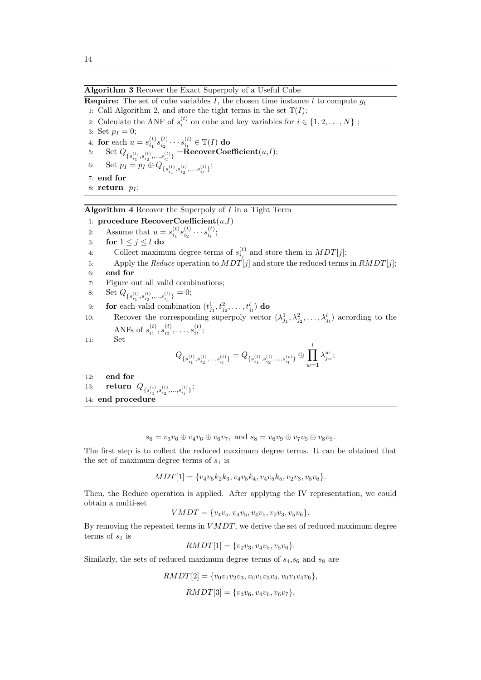## **Algorithm 3** Recover the Exact Superpoly of a Useful Cube

**Require:** The set of cube variables *I*, the chosen time instance *t* to compute  $g_t$ 1: Call Algorithm 2, and store the tight terms in the set  $\mathbb{T}(I)$ ;

2: Calculate the ANF of  $s_i^{(t)}$  on cube and key variables for  $i \in \{1, 2, ..., N\}$ ;

<span id="page-13-0"></span>3: Set  $p_I = 0$ ; 4: **for** each  $u = s_{i_1}^{(t)} s_{i_2}^{(t)} \cdots s_{i_l}^{(t)} \in \mathbb{T}(I)$  $u = s_{i_1}^{(t)} s_{i_2}^{(t)} \cdots s_{i_l}^{(t)} \in \mathbb{T}(I)$  $u = s_{i_1}^{(t)} s_{i_2}^{(t)} \cdots s_{i_l}^{(t)} \in \mathbb{T}(I)$  do  $5: \quad \text{Set } Q_{\{s_{i_1}^{(t)},s_{i_2}^{(t)},...,s_{i_l}^{(t)}\}} = \textbf{RecoverCoefficient}(u,I);$ 6: Set  $p_I = p_I \oplus Q_{\{s_{i_1}^{(t)}, s_{i_2}^{(t)}, \ldots, s_{i_l}^{(t)}\}};$ 7: **end for** 8: **return** *p<sup>I</sup>* ;

## **Algorithm 4** Recover the Superpoly of *I* in a Tight Term

1: **procedure RecoverCoefficient**(*u*,*I*)

2: Assume that  $u = s_{i_1}^{(t)} s_{i_2}^{(t)} \cdots s_{i_l}^{(t)};$ 

- 3: **for**  $1 \leq j \leq l$  **do**
- <span id="page-13-1"></span>4: Collect maximum degree terms of  $s_{i_j}^{(t)}$  and store them in  $MDT[j]$ ;
- 5: Apply the *Reduce* operation to  $MDT[j]$  and store the reduced terms in  $RMDT[j]$ ;
- 6: **end for**
- 7: Figure out all valid combinations;

8: Set 
$$
Q_{\{s_{i_1}^{(t)}, s_{i_2}^{(t)}, \ldots, s_{i_l}^{(t)}\}} = 0;
$$

9: **for** each valid combination  $(t_{j_1}^1, t_{j_2}^2, \ldots, t_{j_l}^l)$  **do** 

10: Recover the corresponding superpoly vector  $(\lambda_{j_1}^1, \lambda_{j_2}^2, \ldots, \lambda_{j_l}^l)$  according to the ANFs of  $s_{i_1}^{(t)}, s_{i_2}^{(t)}, \ldots, s_{i_l}^{(t)};$ 

11: Set

$$
Q_{\{s_{i_1}^{(t)},s_{i_2}^{(t)},...,s_{i_l}^{(t)}\}}=Q_{\{s_{i_1}^{(t)},s_{i_2}^{(t)},...,s_{i_l}^{(t)}\}}\oplus\prod_{w=1}^l\lambda_{j_w}^w\,;
$$

12: **end for**

- 13: **return**  $Q_{\{s_{i_1}^{(t)}, s_{i_2}^{(t)}, \ldots, s_{i_l}^{(t)}\}};$
- 14: **end procedure**

$$
s_6 = v_3v_6 \oplus v_4v_6 \oplus v_6v_7
$$
, and  $s_8 = v_6v_9 \oplus v_7v_9 \oplus v_8v_9$ .

The first step is to collect the reduced maximum degree terms. It can be obtained that the set of maximum degree terms of *s*<sup>1</sup> is

$$
MDT[1] = \{v_4v_5k_2k_3, v_4v_5k_4, v_4v_5k_5, v_2v_3, v_5v_6\}.
$$

Then, the Reduce operation is applied. After applying the IV representation, we could obtain a multi-set

 $VMDT = \{v_4v_5, v_4v_5, v_4v_5, v_2v_3, v_5v_6\}.$ 

By removing the repeated terms in *V MDT*, we derive the set of reduced maximum degree terms of  $s_1$  is

$$
RMDT[1] = \{v_2v_3, v_4v_5, v_5v_6\}.
$$

Similarly, the sets of reduced maximum degree terms of  $s_4$ , $s_6$  and  $s_8$  are

 $RMDT[2] = \{v_0v_1v_2v_3, v_0v_1v_3v_4, v_0v_1v_4v_6\},\$ 

 $RMDT[3] = \{v_3v_6, v_4v_6, v_6v_7\},\$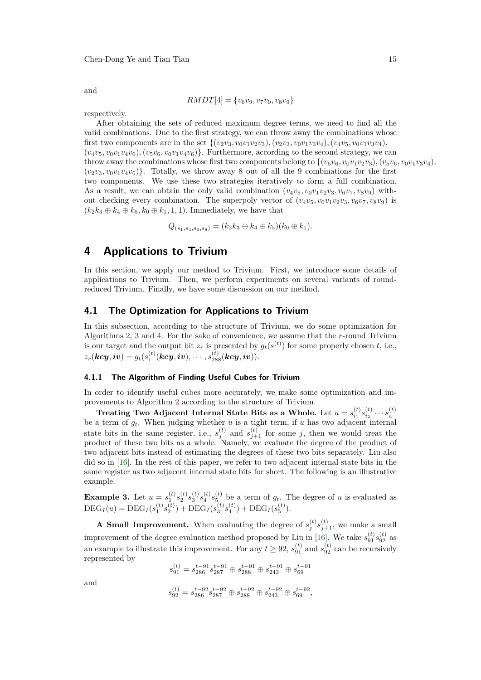and

$$
RMDT[4] = \{v_6v_9, v_7v_9, v_8v_9\}
$$

respectively.

After obtaining the sets of reduced maximum degree terms, we need to find all the valid combinations. Due to the first strategy, we can throw away the combinations whose first two components are in the set  $\{(v_2v_3, v_0v_1v_2v_3), (v_2v_3, v_0v_1v_3v_4), (v_4v_5, v_0v_1v_3v_4),$  $(v_4v_5, v_0v_1v_4v_6), (v_5v_6, v_0v_1v_4v_6)$ . Furthermore, according to the second strategy, we can throw away the combinations whose first two components belong to  $\{(v_5v_6, v_0v_1v_2v_3), (v_5v_6, v_0v_1v_3v_4),$  $(v_2v_3, v_0v_1v_4v_6)$ . Totally, we throw away 8 out of all the 9 combinations for the first two components. We use these two strategies iteratively to form a full combination. As a result, we can obtain the only valid combination  $(v_4v_5, v_0v_1v_2v_3, v_6v_7, v_8v_9)$  without checking every combination. The superpoly vector of  $(v_4v_5, v_0v_1v_2v_3, v_6v_7, v_8v_9)$  is  $(k_2k_3 \oplus k_4 \oplus k_5, k_0 \oplus k_1, 1, 1)$ . Immediately, we have that

$$
Q_{(s_1,s_4,s_6,s_8)} = (k_2k_3 \oplus k_4 \oplus k_5)(k_0 \oplus k_1).
$$

# **4 Applications to Trivium**

In this section, we apply our method to Trivium. First, we introduce some details of applications to Trivium. Then, we perform experiments on several variants of roundreduced Trivium. Finally, we have some discussion on our method.

## **4.1 The Optimization for Applications to Trivium**

In this subsection, according to the structure of Trivium, we do some optimization for Algorithms 2, 3 and 4. For the sake of convenience, we assume that the *r*-round Trivium is our target and the output bit  $z_r$  is presented by  $g_t(s^{(t)})$  for some properly chosen *t*, i.e.,  $z_r(\bm{key},\bm{iv}) = g_t(s_1^{(t)}(\bm{key},\bm{iv}),\cdots,s_{288}^{(t)}(\bm{key},\bm{iv})).$ 

## **4.1.1 The [A](#page-10-1)[lg](#page-13-0)orit[hm](#page-13-1) of Finding Useful Cubes for Trivium**

In order to identify useful cubes more accurately, we make some optimization and improvements to Algorithm 2 according to the structure of Trivium.

**Treating Two Adjacent Internal State Bits as a Whole.** Let  $u = s_{i_1}^{(t)} s_{i_2}^{(t)} \cdots s_{i_l}^{(t)}$  be a term of  $g_t$ . When judging whether u is a tight term, if u has two adjacent internal state bits in the same register, i.e.,  $s_j^{(t)}$  and  $s_{j+1}^{(t)}$  for some *j*, then we would treat the product of these two bits [a](#page-10-1)s a whole. Namely, we evaluate the degree of the product of two adjacent bits instead of estimating the degrees of these two bits separately. Liu also did so in [16]. In the rest of this paper, we refer to two adjacent internal state bits in the same register as two adjacent internal state bits for short. The following is an illustrative example.

**Example [3.](#page-21-2)** Let  $u = s_1^{(t)} s_2^{(t)} s_3^{(t)} s_4^{(t)} s_5^{(t)}$  be a term of  $g_t$ . The degree of *u* is evaluated as  $\text{DEC}_I(u) = \text{DEC}_I(s_1^{(t)} s_2^{(t)}) + \text{DEC}_I(s_3^{(t)} s_4^{(t)}) + \text{DEC}_I(s_5^{(t)}).$ 

**A Small Improvement.** When evaluating the degree of  $s_j^{(t)} s_{j+1}^{(t)}$ , we make a small improvement of the degree evaluation method proposed by Liu in [16]. We take  $s_{91}^{(t)} s_{92}^{(t)}$  as an example to illustrate this improvement. For any  $t \ge 92$ ,  $s_{91}^{(t)}$  and  $s_{92}^{(t)}$  can be recursively represented by

$$
s_{91}^{(t)} = s_{286}^{t-91} s_{287}^{t-91} \oplus s_{288}^{t-91} \oplus s_{243}^{t-91} \oplus s_{69}^{t-91}
$$

and

$$
s_{92}^{(t)} = s_{286}^{t-92} s_{287}^{t-92} \oplus s_{288}^{t-92} \oplus s_{243}^{t-92} \oplus s_{69}^{t-92},
$$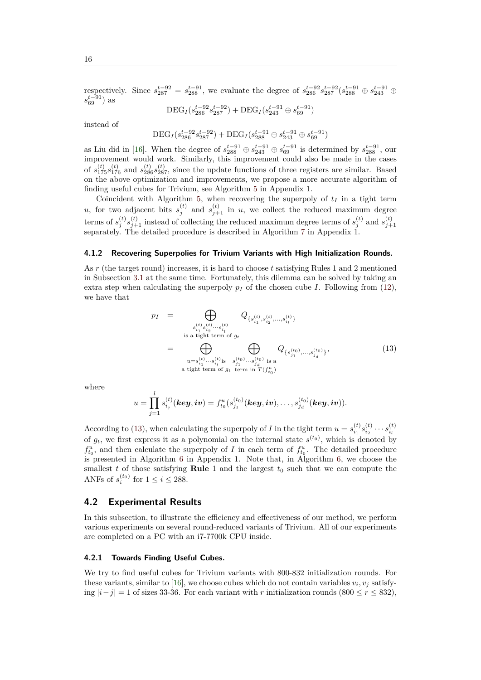respectively. Since  $s_{287}^{t-92} = s_{288}^{t-91}$ , we evaluate the degree of  $s_{286}^{t-92} s_{287}^{t-92} (s_{288}^{t-91} \oplus s_{243}^{t-91} \oplus$ *s*<sup>*t*−91</sup></sub>) as

$$
\text{DEG}_{I}(s_{286}^{t-92}s_{287}^{t-92}) + \text{DEG}_{I}(s_{243}^{t-91} \oplus s_{69}^{t-91})
$$

instead of

$$
\text{DEC}_I(s_{286}^{t-92}s_{287}^{t-92}) + \text{DEC}_I(s_{288}^{t-91} \oplus s_{243}^{t-91} \oplus s_{69}^{t-91})
$$

as Liu did in [16]. When the degree of  $s_{288}^{t-91} \oplus s_{243}^{t-91} \oplus s_{69}^{t-91}$  is determined by  $s_{288}^{t-91}$ , our improvement would work. Similarly, this improvement could also be made in the cases of  $s_{175}^{(t)}s_{176}^{(t)}$  and  $s_{286}^{(t)}s_{287}^{(t)}$ , since the update functions of three registers are similar. Based on the above optimization and improvements, we propose a more accurate algorithm of finding useful [cub](#page-21-2)es for Trivium, see Algorithm 5 in Appendix 1.

Coincident with Algorithm 5, when recovering the superpoly of  $t_I$  in a tight term *u*, for two adjacent bits  $s_j^{(t)}$  and  $s_{j+1}^{(t)}$  in *u*, we collect the reduced maximum degree terms of  $s_j^{(t)} s_{j+1}^{(t)}$  [in](#page-21-3)stead of collecting the reduced maximum degree terms of  $s_j^{(t)}$  and  $s_{j+1}^{(t)}$  separately. The detailed procedure is described in Algorithm 7 in Appendix 1.

### **4.1.2 Recovering Superpolies for Trivium Variants with High Initialization Rounds.**

As *r* (the target round) increases, it is hard to choose *t* satisfyi[ng](#page-22-0) Rules 1 and 2 mentioned in Subsection 3.1 at the same time. Fortunately, this dilemma can be solved by taking an extra step when calculating the superpoly  $p_I$  of the chosen cube *I*. Following from (12), we have that

<span id="page-15-0"></span>
$$
p_{I} = \bigoplus_{\substack{s_{i_{1}}^{(t)} s_{i_{2}}^{(t)} \cdots s_{i_{l}}^{(t)} \\ \text{is a tight term of } g_{t}}} Q_{\{s_{i_{1}}^{(t)}, s_{i_{2}}^{(t)} \cdots s_{i_{l}}^{(t)}\}}
$$
  

$$
= \bigoplus_{\substack{u=s_{i_{1}}^{(t)} \cdots s_{i_{l}}^{(t)} \text{is} \ s_{j_{1}}^{(t_{0})} \cdots s_{j_{d}}^{(t_{0})} \text{is a} \\ \text{a tight term of } g_{t} \text{ term in } T(f_{t_{0}}^{u})}} Q_{\{s_{j_{1}}^{(t_{0})}, \ldots, s_{j_{d}}^{(t_{0})}\}}, \tag{13}
$$

where

$$
u = \prod_{j=1}^l s_{i_j}^{(t)}(\bm{key},\bm{iv}) = f_{t_0}^u(s_{j_1}^{(t_0)}(\bm{key},\bm{iv}),\ldots,s_{j_d}^{(t_0)}(\bm{key},\bm{iv})).
$$

According to (13), when calculating the superpoly of *I* in the tight term  $u = s_{i_1}^{(t)} s_{i_2}^{(t)} \cdots s_{i_l}^{(t)}$ of  $g_t$ , we first express it as a polynomial on the internal state  $s^{(t_0)}$ , which is denoted by  $f_{t_0}^u$ , and then calculate the superpoly of *I* in each term of  $f_{t_0}^u$ . The detailed procedure is presented in Algorithm 6 in Appendix 1. Note that, in Algorithm 6, we choose the smallest *t* of [tho](#page-15-0)se satisfying **Rule** 1 and the largest  $t_0$  such that we can compute the ANFs of  $s_i^{(t_0)}$  for  $1 \leq i \leq 288$ .

## **4.2 Experimental R[es](#page-22-1)ults**

In this subsection, to illustrate the efficiency and effectiveness of our method, we perform various experiments on several round-reduced variants of Trivium. All of our experiments are completed on a PC with an i7-7700k CPU inside.

#### **4.2.1 Towards Finding Useful Cubes.**

We try to find useful cubes for Trivium variants with 800-832 initialization rounds. For these variants, similar to [16], we choose cubes which do not contain variables  $v_i, v_j$  satisfying *|i−j|* = 1 of sizes 33-36. For each variant with *r* initialization rounds (800 *≤ r ≤* 832),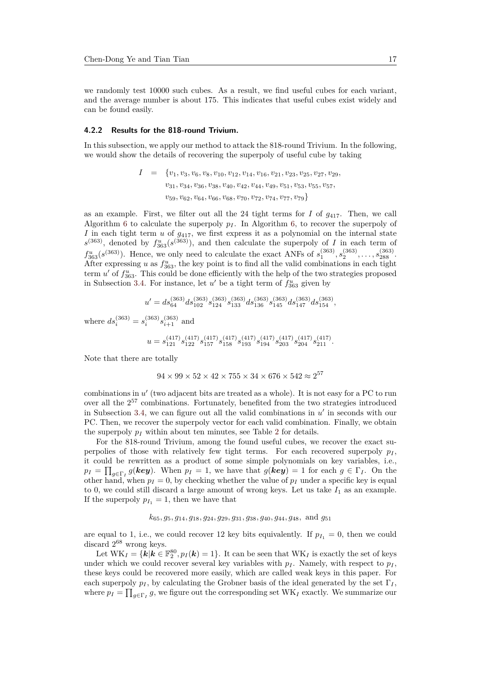we randomly test 10000 such cubes. As a result, we find useful cubes for each variant, and the average number is about 175. This indicates that useful cubes exist widely and can be found easily.

#### **4.2.2 Results for the 818-round Trivium.**

In this subsection, we apply our method to attack the 818-round Trivium. In the following, we would show the details of recovering the superpoly of useful cube by taking

$$
I = \{v_1, v_3, v_6, v_8, v_{10}, v_{12}, v_{14}, v_{16}, v_{21}, v_{23}, v_{25}, v_{27}, v_{29}, v_{31}, v_{34}, v_{36}, v_{38}, v_{40}, v_{42}, v_{44}, v_{49}, v_{51}, v_{53}, v_{55}, v_{57}, v_{59}, v_{62}, v_{64}, v_{66}, v_{68}, v_{70}, v_{72}, v_{74}, v_{77}, v_{79}\}
$$

as an example. First, we filter out all the 24 tight terms for  $I$  of  $g_{417}$ . Then, we call Algorithm 6 to calculate the superpoly  $p_I$ . In Algorithm 6, to recover the superpoly of *I* in each tight term *u* of *g*417, we first express it as a polynomial on the internal state  $s^{(363)}$ , denoted by  $f_{363}^u(s^{(363)})$ , and then calculate the superpoly of *I* in each term of  $f_{363}^u(s^{(363)})$ . Hence, we only need to calculate the exact ANFs of  $s_1^{(363)}, s_2^{(363)}, \ldots, s_{288}^{(363)}$ . After expr[ess](#page-22-1)ing *u* as  $f_{363}^u$ , the key point is to find [al](#page-22-1)l the valid combinations in each tight term  $u'$  of  $f_{363}^u$ . This could be done efficiently with the help of the two strategies proposed in Subsection 3.4. For instance, let  $u'$  be a tight term of  $f_{363}^u$  given by

$$
u' = ds_{64}^{(363)}ds_{102}^{(363)}s_{124}^{(363)}s_{133}^{(363)}ds_{136}^{(363)}s_{145}^{(363)}ds_{147}^{(363)}ds_{154}^{(363)},
$$
 where  $ds_i^{(363)} = s_i^{(363)}s_{i+1}^{(363)}$  and 
$$
u = s_{121}^{(417)}s_{122}^{(417)}s_{157}^{(417)}s_{158}^{(417)}s_{194}^{(417)}s_{203}^{(417)}s_{204}^{(417)}s_{211}^{(417)}.
$$

Note that there are totally

$$
94 \times 99 \times 52 \times 42 \times 755 \times 34 \times 676 \times 542 \approx 2^{57}
$$

combinations in  $u'$  (two adjacent bits are treated as a whole). It is not easy for a PC to run over all the 2 <sup>57</sup> combinations. Fortunately, benefited from the two strategies introduced in Subsection 3.4, we can figure out all the valid combinations in  $u'$  in seconds with our PC. Then, we recover the superpoly vector for each valid combination. Finally, we obtain the superpoly *p<sup>I</sup>* within about ten minutes, see Table 2 for details.

For the 818-round Trivium, among the found useful cubes, we recover the exact superpolies of t[hos](#page-10-2)e with relatively few tight terms. For each recovered superpoly  $p_I$ , it could be rewritten as a product of some simple polynomials on key variables, i.e.,  $p_I = \prod_{g \in \Gamma_I} g(\mathbf{key}).$  $p_I = \prod_{g \in \Gamma_I} g(\mathbf{key}).$  $p_I = \prod_{g \in \Gamma_I} g(\mathbf{key}).$  When  $p_I = 1$ , we have that  $g(\mathbf{key}) = 1$  for each  $g \in \Gamma_I$ . On the other hand, when  $p_I = 0$ , by checking whether the value of  $p_I$  under a specific key is equal to 0, we could still discard a large amount of wrong keys. Let us take  $I_1$  as an example. If the superpoly  $p_{I_1} = 1$ , then we have that

## *k*65*, g*5*, g*14*, g*18*, g*24*, g*29*, g*31*, g*38*, g*40*, g*44*, g*48*,* and *g*<sup>51</sup>

are equal to 1, i.e., we could recover 12 key bits equivalently. If  $p_{I_1} = 0$ , then we could discard  $2^{68}$  wrong keys.

Let  $\text{WK}_I = \{k | k \in \mathbb{F}_2^{80}, p_I(k) = 1\}$ . It can be seen that  $\text{WK}_I$  is exactly the set of keys under which we could recover several key variables with  $p_I$ . Namely, with respect to  $p_I$ , these keys could be recovered more easily, which are called weak keys in this paper. For each superpoly  $p_I$ , by calculating the Grobner basis of the ideal generated by the set  $\Gamma_I$ , where  $p_I = \prod_{g \in \Gamma_I} g$ , we figure out the corresponding set  $\text{WK}_I$  exactly. We summarize our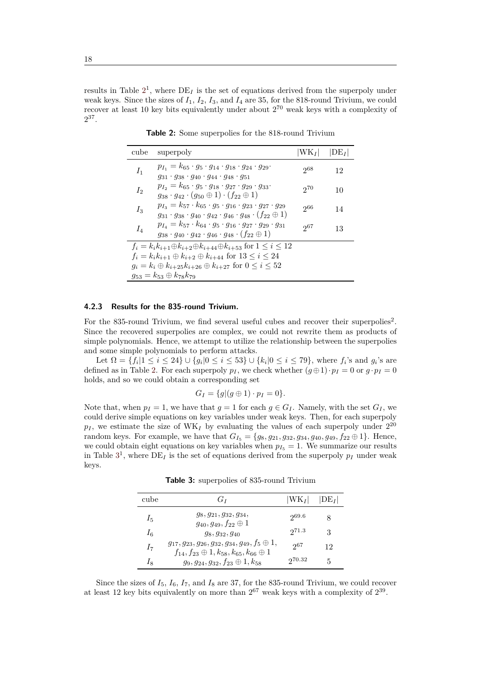results in Table  $2^1$ , where  $DE_I$  is the set of equations derived from the superpoly under weak keys. Since the sizes of *I*1, *I*2, *I*3, and *I*<sup>4</sup> are 35, for the 818-round Trivium, we could recover at least 10 key bits equivalently under about  $2^{70}$  weak keys with a complexity of  $2^{37}$ .

<span id="page-17-0"></span>

| cube                                                                                      | superpoly                                                                                                                                                                                          | $ WK_I $ | $ DE_I $ |
|-------------------------------------------------------------------------------------------|----------------------------------------------------------------------------------------------------------------------------------------------------------------------------------------------------|----------|----------|
| $I_1$                                                                                     | $p_{I_1} = k_{65} \cdot g_5 \cdot g_{14} \cdot g_{18} \cdot g_{24} \cdot g_{29}$<br>$g_{31} \cdot g_{38} \cdot g_{40} \cdot g_{44} \cdot g_{48} \cdot g_{51}$                                      | $2^{68}$ | 12       |
| $I_2$                                                                                     | $p_{I_2} = k_{65} \cdot g_5 \cdot g_{18} \cdot g_{27} \cdot g_{29} \cdot g_{33}$<br>$g_{38}\cdot g_{42}\cdot (g_{50}\oplus 1)\cdot (f_{22}\oplus 1)$                                               | 970      | 10       |
| $I_3$                                                                                     | $p_{I_3} = k_{57} \cdot k_{65} \cdot g_5 \cdot g_{16} \cdot g_{23} \cdot g_{27} \cdot g_{29}$<br>$g_{31} \cdot g_{38} \cdot g_{40} \cdot g_{42} \cdot g_{46} \cdot g_{48} \cdot (f_{22} \oplus 1)$ | 266      | 14       |
| $I_4$                                                                                     | $p_{I_4} = k_{57} \cdot k_{64} \cdot g_5 \cdot g_{16} \cdot g_{27} \cdot g_{29} \cdot g_{31}$<br>$g_{38}\cdot g_{40}\cdot g_{42}\cdot g_{46}\cdot g_{48}\cdot (f_{22}\oplus 1)$                    | 2067     | 13       |
| $f_i = k_i k_{i+1} \oplus k_{i+2} \oplus k_{i+44} \oplus k_{i+53}$ for $1 \leq i \leq 12$ |                                                                                                                                                                                                    |          |          |
| $f_i = k_i k_{i+1} \oplus k_{i+2} \oplus k_{i+44}$ for $13 \leq i \leq 24$                |                                                                                                                                                                                                    |          |          |
| $g_i = k_i \oplus k_{i+25} k_{i+26} \oplus k_{i+27}$ for $0 \le i \le 52$                 |                                                                                                                                                                                                    |          |          |
| $g_{53} = k_{53} \oplus k_{78} k_{79}$                                                    |                                                                                                                                                                                                    |          |          |

**[T](#page-17-0)able 2:** Some superpolies for the 818-round Trivium

#### **4.2.3 Results for the 835-round Trivium.**

For the 835-round Trivium, we find several useful cubes and recover their superpolies<sup>2</sup>. Since the recovered superpolies are complex, we could not rewrite them as products of simple polynomials. Hence, we attempt to utilize the relationship between the superpolies and some simple polynomials to perform attacks.

Let  $\Omega = \{f_i | 1 \leq i \leq 24\} \cup \{g_i | 0 \leq i \leq 53\} \cup \{k_i | 0 \leq i \leq 79\}$ , where  $f_i$ 's and  $g_i$ 's are defined as in Table 2. For each superpoly  $p_I$ , we check whether  $(g \oplus 1) \cdot p_I = 0$  or  $g \cdot p_I = 0$ holds, and so we could obtain a corresponding set

$$
G_I = \{g | (g \oplus 1) \cdot p_I = 0\}.
$$

Note that, when  $p_I = 1$  $p_I = 1$  $p_I = 1$ , we have that  $g = 1$  for each  $g \in G_I$ . Namely, with the set  $G_I$ , we could derive simple equations on key variables under weak keys. Then, for each superpoly  $p_I$ , we estimate the size of WK<sub>I</sub> by evaluating the values of each superpoly under  $2^{20}$ random keys. For example, we have that  $G_{I_5} = \{g_8, g_{21}, g_{32}, g_{34}, g_{40}, g_{49}, f_{22} \oplus 1\}$ . Hence, we could obtain eight equations on key variables when  $p_{I_5} = 1$ . We summarize our results in Table  $3^1$ , where  $DE_I$  is the set of equations derived from the superpoly  $p_I$  under weak keys.

**Table 3:** superpolies of 835-round Trivium

| cube  | $G_I$                                                                                                                         | $ WK_I $ | $ DE_I $ |
|-------|-------------------------------------------------------------------------------------------------------------------------------|----------|----------|
| $I_5$ | $g_8, g_{21}, g_{32}, g_{34},$<br>$g_{40}, g_{49}, f_{22} \oplus 1$                                                           | 269.6    |          |
| $I_6$ | $g_8, g_{32}, g_{40}$                                                                                                         | 271.3    | 3        |
| $I_7$ | $g_{17}, g_{23}, g_{26}, g_{32}, g_{34}, g_{49}, f_5 \oplus 1,$<br>$f_{14}, f_{23} \oplus 1, k_{58}, k_{65}, k_{66} \oplus 1$ | 967      | 12       |
| Ig    | $g_9, g_{24}, g_{32}, f_{23} \oplus 1, k_{58}$                                                                                | 270.32   | 5        |

Since the sizes of  $I_5$ ,  $I_6$ ,  $I_7$ , and  $I_8$  are 37, for the 835-round Trivium, we could recover at least 12 key bits equivalently on more than  $2^{67}$  weak keys with a complexity of  $2^{39}$ .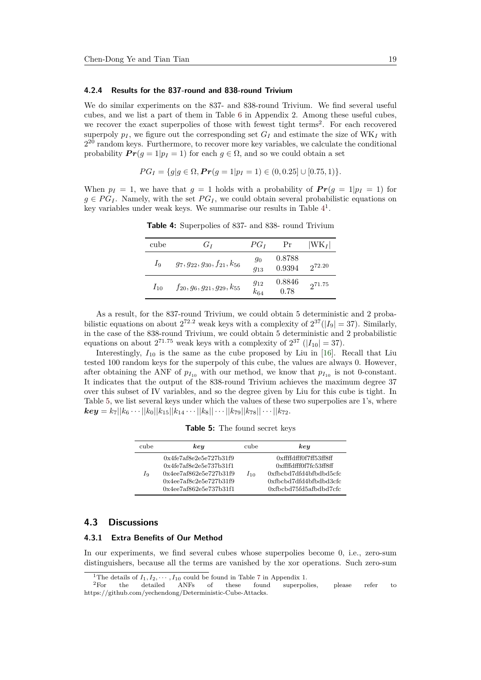#### **4.2.4 Results for the 837-round and 838-round Trivium**

We do similar experiments on the 837- and 838-round Trivium. We find several useful cubes, and we list a part of them in Table 6 in Appendix 2. Among these useful cubes, we recover the exact superpolies of those with fewest tight terms<sup>2</sup>. For each recovered superpoly  $p_I$ , we figure out the corresponding set  $G_I$  and estimate the size of WK<sub>I</sub> with  $2^{20}$  random keys. Furthermore, to recover more key variables, we calculate the conditional probability  $Pr(q = 1|p_I = 1)$  for each  $q \in \Omega$ , and so we could obtain a set

$$
PG_I = \{g | g \in \Omega, \Pr(g = 1 | p_I = 1) \in (0, 0.25] \cup [0.75, 1)\}.
$$

When  $p_I = 1$ , we have that  $q = 1$  holds with a probability of  $Pr(q = 1|p_I = 1)$  for  $g \in PG_I$ . Namely, with the set  $PG_I$ , we could obtain several probabilistic equations on key variables under weak keys. We summarise our results in Table  $4<sup>1</sup>$ .

| cube     | $G_I$                                 | $PG_I$               | Pr               | $ WK_I $ |
|----------|---------------------------------------|----------------------|------------------|----------|
| $I_9$    | $g_7, g_{22}, g_{30}, f_{21}, k_{56}$ | 90<br>$g_{13}$       | 0.8788<br>0.9394 | 272.20   |
| $I_{10}$ | $f_{20}, g_6, g_{21}, g_{29}, k_{55}$ | $g_{12}$<br>$k_{64}$ | 0.8846<br>0.78   | 271.75   |

**Table 4:** Superpolies of 837- and 838- round Trivium

<span id="page-18-0"></span>As a result, for the 837-round Trivium, we could obtain 5 deterministic and 2 probabilistic equations on about  $2^{72.2}$  weak keys with a complexity of  $2^{37}(|I_9|=37)$ . Similarly, in the case of the 838-round Trivium, we could obtain 5 deterministic and 2 probabilistic equations on about  $2^{71.75}$  weak keys with a complexity of  $2^{37}$  ( $|I_{10}| = 37$ ).

Interestingly,  $I_{10}$  is the same as the cube proposed by Liu in [16]. Recall that Liu tested 100 random keys for the superpoly of this cube, the values are always 0. However, after obtaining the ANF of  $p_{I_{10}}$  with our method, we know that  $p_{I_{10}}$  is not 0-constant. It indicates that the output of the 838-round Trivium achieves the maximum degree 37 over this subset of IV variables, and so the degree given by Liu for [thi](#page-21-2)s cube is tight. In Table 5, we list several keys under which the values of these two superpolies are 1's, where  $\bm{key}=k_7||k_6\cdots||k_0||k_{15}||k_{14}\cdots||k_8||\cdots||k_{79}||k_{78}||\cdots||k_{72}.$ 

**Table 5:** The found secret keys

| cube | keu                                                                                                                                     | cube     | key                                                                                                                            |
|------|-----------------------------------------------------------------------------------------------------------------------------------------|----------|--------------------------------------------------------------------------------------------------------------------------------|
| Iq   | 0x4fe7af8e2e5e727b31f9<br>$0x4f\epsilon7af8e2e5e737b31f1$<br>0x4ee7af862e5e727b31f9<br>0x4ee7af8c2e5e727b31f9<br>0x4ee7af862e5e737b31f1 | $I_{10}$ | 0xffffdfff0f7ff53ff8ff<br>0xffffdfff0f7fc53ff8ff<br>0xfbcbd7dfd4bfbdbd5cfc<br>0xfbcbd7dfd4bfbdbd3cfc<br>0xfbcbd75fd5afbdbd7cfc |

## **4.3 Discussions**

#### **4.3.1 Extra Benefits of Our Method**

In our experiments, we find several cubes whose superpolies become 0, i.e., zero-sum distinguishers, because all the terms are vanished by the xor operations. Such zero-sum

<sup>&</sup>lt;sup>1</sup>The details of  $I_1, I_2, \cdots, I_{10}$  could be found in Table 7 in Appendix 1.<br><sup>2</sup>For the detailed ANFs of these found superpolies detailed ANFs of these found superpolies, please refer to https://github.com/yechendong/Deterministic-Cube-Attacks.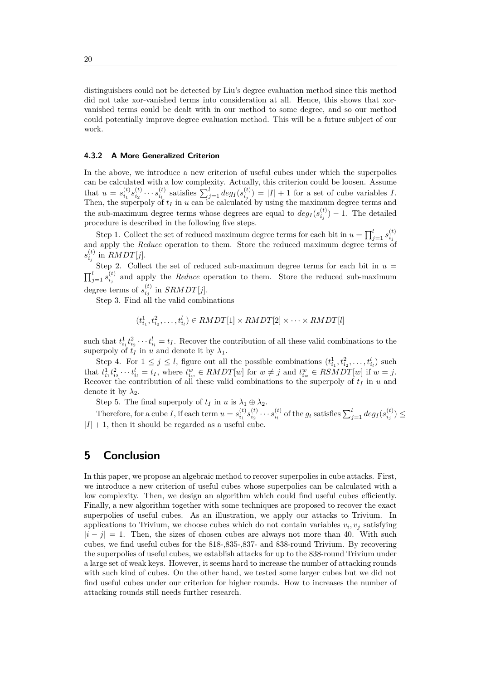distinguishers could not be detected by Liu's degree evaluation method since this method did not take xor-vanished terms into consideration at all. Hence, this shows that xorvanished terms could be dealt with in our method to some degree, and so our method could potentially improve degree evaluation method. This will be a future subject of our work.

#### **4.3.2 A More Generalized Criterion**

In the above, we introduce a new criterion of useful cubes under which the superpolies can be calculated with a low complexity. Actually, this criterion could be loosen. Assume that  $u = s_{i_1}^{(t)} s_{i_2}^{(t)} \cdots s_{i_l}^{(t)}$  satisfies  $\sum_{j=1}^l deg_I(s_{i_j}^{(t)}) = |I| + 1$  for a set of cube variables I. Then, the superpoly of *t<sup>I</sup>* in *u* can be calculated by using the maximum degree terms and the sub-maximum degree terms whose degrees are equal to  $deg_I(s_{i_j}^{(t)}) - 1$ . The detailed procedure is described in the following five steps.

Step 1. Collect the set of reduced maximum degree terms for each bit in  $u = \prod_{j=1}^{l} s_{i_j}^{(t)}$ and apply the *Reduce* operation to them. Store the reduced maximum degree terms of  $s_{i_j}^{(t)}$  in  $RMDT[j]$ .

Step 2. Collect the set of reduced sub-maximum degree terms for each bit in  $u =$  $\prod_{j=1}^{l} s_{i_j}^{(t)}$  and apply the *Reduce* operation to them. Store the reduced sub-maximum degree terms of  $s_{i_j}^{(t)}$  in  $SRMDT[j]$ .

Step 3. Find all the valid combinations

$$
(t_{i_1}^1, t_{i_2}^2, \dots, t_{i_l}^l) \in \text{RMDT}[1] \times \text{RMDT}[2] \times \dots \times \text{RMDT}[l]
$$

such that  $t_{i_1}^1 t_{i_2}^2 \cdots t_{i_l}^l = t_I$ . Recover the contribution of all these valid combinations to the superpoly of  $t_I$  in  $u$  and denote it by  $\lambda_1$ .

Step 4. For  $1 \leq j \leq l$ , figure out all the possible combinations  $(t^1_{i_1}, t^2_{i_2}, \ldots, t^l_{i_l})$  such that  $t_{i_1}^1 t_{i_2}^2 \cdots t_{i_l}^l = t_I$ , where  $t_{i_w}^w \in \text{RMDT}[w]$  for  $w \neq j$  and  $t_{i_w}^w \in \text{RSMDT}[w]$  if  $w = j$ . Recover the contribution of all these valid combinations to the superpoly of *t<sup>I</sup>* in *u* and denote it by  $\lambda_2$ .

Step 5. The final superpoly of  $t_I$  in  $u$  is  $\lambda_1 \oplus \lambda_2$ .

Therefore, for a cube I, if each term  $u = s_{i_1}^{(t)} s_{i_2}^{(t)} \cdots s_{i_l}^{(t)}$  of the  $g_t$  satisfies  $\sum_{j=1}^l deg_I(s_{i_j}^{(t)}) \le$  $|I| + 1$ , then it should be regarded as a useful cube.

# **5 Conclusion**

In this paper, we propose an algebraic method to recover superpolies in cube attacks. First, we introduce a new criterion of useful cubes whose superpolies can be calculated with a low complexity. Then, we design an algorithm which could find useful cubes efficiently. Finally, a new algorithm together with some techniques are proposed to recover the exact superpolies of useful cubes. As an illustration, we apply our attacks to Trivium. In applications to Trivium, we choose cubes which do not contain variables  $v_i, v_j$  satisfying  $|i-j|=1$ . Then, the sizes of chosen cubes are always not more than 40. With such cubes, we find useful cubes for the 818-,835-,837- and 838-round Trivium. By recovering the superpolies of useful cubes, we establish attacks for up to the 838-round Trivium under a large set of weak keys. However, it seems hard to increase the number of attacking rounds with such kind of cubes. On the other hand, we tested some larger cubes but we did not find useful cubes under our criterion for higher rounds. How to increases the number of attacking rounds still needs further research.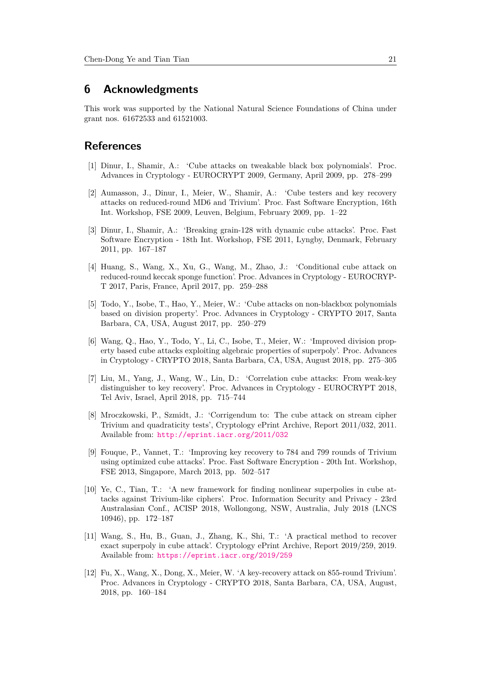# **6 Acknowledgments**

This work was supported by the National Natural Science Foundations of China under grant nos. 61672533 and 61521003.

# **References**

- [1] Dinur, I., Shamir, A.: 'Cube attacks on tweakable black box polynomials'. Proc. Advances in Cryptology - EUROCRYPT 2009, Germany, April 2009, pp. 278–299
- <span id="page-20-0"></span>[2] Aumasson, J., Dinur, I., Meier, W., Shamir, A.: 'Cube testers and key recovery attacks on reduced-round MD6 and Trivium'. Proc. Fast Software Encryption, 16th Int. Workshop, FSE 2009, Leuven, Belgium, February 2009, pp. 1–22
- [3] Dinur, I., Shamir, A.: 'Breaking grain-128 with dynamic cube attacks'. Proc. Fast Software Encryption - 18th Int. Workshop, FSE 2011, Lyngby, Denmark, February 2011, pp. 167–187
- [4] Huang, S., Wang, X., Xu, G., Wang, M., Zhao, J.: 'Conditional cube attack on reduced-round keccak sponge function'. Proc. Advances in Cryptology - EUROCRYP-T 2017, Paris, France, April 2017, pp. 259–288
- <span id="page-20-1"></span>[5] Todo, Y., Isobe, T., Hao, Y., Meier, W.: 'Cube attacks on non-blackbox polynomials based on division property'. Proc. Advances in Cryptology - CRYPTO 2017, Santa Barbara, CA, USA, August 2017, pp. 250–279
- <span id="page-20-2"></span>[6] Wang, Q., Hao, Y., Todo, Y., Li, C., Isobe, T., Meier, W.: 'Improved division property based cube attacks exploiting algebraic properties of superpoly'. Proc. Advances in Cryptology - CRYPTO 2018, Santa Barbara, CA, USA, August 2018, pp. 275–305
- <span id="page-20-3"></span>[7] Liu, M., Yang, J., Wang, W., Lin, D.: 'Correlation cube attacks: From weak-key distinguisher to key recovery'. Proc. Advances in Cryptology - EUROCRYPT 2018, Tel Aviv, Israel, April 2018, pp. 715–744
- <span id="page-20-4"></span>[8] Mroczkowski, P., Szmidt, J.: 'Corrigendum to: The cube attack on stream cipher Trivium and quadraticity tests', Cryptology ePrint Archive, Report 2011/032, 2011. Available from: http://eprint.iacr.org/2011/032
- <span id="page-20-5"></span>[9] Fouque, P., Vannet, T.: 'Improving key recovery to 784 and 799 rounds of Trivium using optimized cube attacks'. Proc. Fast Software Encryption - 20th Int. Workshop, FSE 2013, Sing[apore, March 2013, pp. 502–517](http://eprint.iacr.org/2011/032)
- <span id="page-20-6"></span>[10] Ye, C., Tian, T.: 'A new framework for finding nonlinear superpolies in cube attacks against Trivium-like ciphers'. Proc. Information Security and Privacy - 23rd Australasian Conf., ACISP 2018, Wollongong, NSW, Australia, July 2018 (LNCS 10946), pp. 172–187
- <span id="page-20-7"></span>[11] Wang, S., Hu, B., Guan, J., Zhang, K., Shi, T.: 'A practical method to recover exact superpoly in cube attack'. Cryptology ePrint Archive, Report 2019/259, 2019. Available from: https://eprint.iacr.org/2019/259
- <span id="page-20-9"></span><span id="page-20-8"></span>[12] Fu, X., Wang, X., Dong, X., Meier, W. 'A key-recovery attack on 855-round Trivium'. Proc. Advances in Cryptology - CRYPTO 2018, Santa Barbara, CA, USA, August, 2018, pp. 160–[184](https://eprint.iacr.org/2019/259)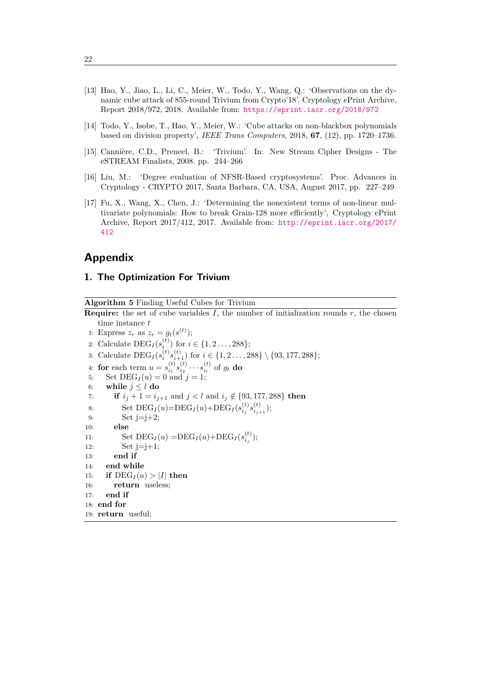- [13] Hao, Y., Jiao, L., Li, C., Meier, W., Todo, Y., Wang, Q.: 'Observations on the dynamic cube attack of 855-round Trivium from Crypto'18'. Cryptology ePrint Archive, Report 2018/972, 2018. Available from: https://eprint.iacr.org/2018/972
- [14] Todo, Y., Isobe, T., Hao, Y., Meier, W.: 'Cube attacks on non-blackbox polynomials based on division property', *IEEE Trans Computers*, 2018, **67**, (12), pp. 1720–1736.
- <span id="page-21-0"></span>[15] Cannière, C.D., Preneel, B.: 'Triviu[m'. In: New Stream Cipher Designs -](https://eprint.iacr.org/2018/972) The eSTREAM Finalists, 2008. pp. 244–266
- <span id="page-21-1"></span>[16] Liu, M.: 'Degree evaluation of NFSR-Based cryptosystems'. Proc. Advances in Cryptology - CRYPTO 2017, Santa Barbara, CA, USA, August 2017, pp. 227–249
- <span id="page-21-2"></span>[17] Fu, X., Wang, X., Chen, J.: 'Determining the nonexistent terms of non-linear multivariate polynomials: How to break Grain-128 more efficiently', Cryptology ePrint Archive, Report 2017/412, 2017. Available from: http://eprint.iacr.org/2017/ 412

# **Appendix**

## **1. [The](http://eprint.iacr.org/2017/412) Optimization For Trivium**

**Algorithm 5** Finding Useful Cubes for Trivium

<span id="page-21-3"></span>**Require:** the set of cube variables  $I$ , the number of initialization rounds  $r$ , the chosen time instance *t* 1: Express  $z_r$  as  $z_r = g_t(s^{(t)})$ ; 2: Calculate  $\text{DEG}_I(s_i^{(t)})$  for  $i \in \{1, 2, ..., 288\}$ ; 3: Calculate  $\text{DEG}_{I}(s_i^{(t)}s_{i+1}^{(t)})$  for  $i \in \{1, 2, ..., 288\} \setminus \{93, 177, 288\};$ 4: **for** each term  $u = s_{i_1}^{(t)} s_{i_2}^{(t)} \cdots s_{i_l}^{(t)}$  of  $g_t$  do 5: Set  $\text{DEG}_I(u) = 0$  and  $j = 1$ ; 6: **while**  $j \leq l$  **do** 7: **if**  $i_j + 1 = i_{j+1}$  and  $j < l$  and  $i_j \notin \{93, 177, 288\}$  then 8: Set  $\text{DEG}_I(u) = \text{DEG}_I(u) + \text{DEG}_I(s_{i_j}^{(t)} s_{i_{j+1}}^{(t)})$ ; 9: Set  $j=j+2$ ; 10: **else** 11: Set  $\text{DEG}_I(u) = \text{DEG}_I(u) + \text{DEG}_I(s_{i_j}^{(t)})$ ; 12: Set  $j=j+1$ ; 13: **end if** 14: **end while** 15: **if**  $\text{DEG}_I(u) > |I|$  then 16: **return** useless; 17: **end if** 18: **end for** 19: **return** useful;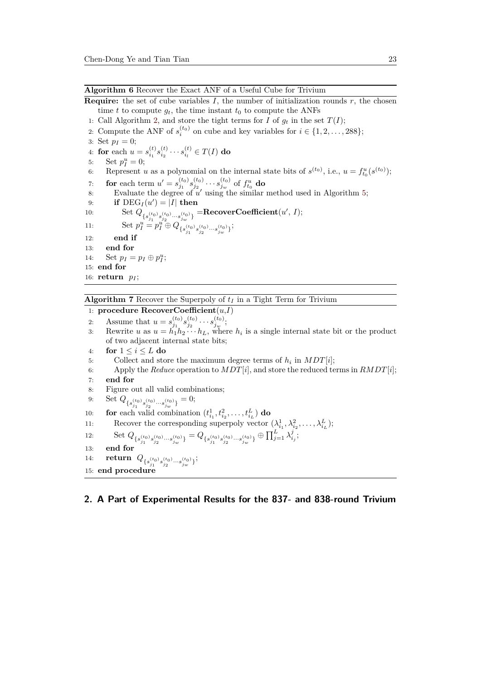#### **Algorithm 6** Recover the Exact ANF of a Useful Cube for Trivium

**Require:** the set of cube variables  $I$ , the number of initialization rounds  $r$ , the chosen time *t* to compute  $g_t$ , the time instant  $t_0$  to compute the ANFs

- 1: Call Algorithm 2, and store the tight terms for *I* of  $g_t$  in the set  $T(I)$ ;
- <span id="page-22-1"></span>2: Compute the ANF of  $s_i^{(t_0)}$  on cube and key variables for  $i \in \{1, 2, \ldots, 288\}$ ;
- 3: Set  $p_I = 0$ ;
- 4: **for** each  $u = s_{i_1}^{(t)} s_{i_2}^{(t)} \cdots s_{i_l}^{(t)} \in T(I)$  $u = s_{i_1}^{(t)} s_{i_2}^{(t)} \cdots s_{i_l}^{(t)} \in T(I)$  $u = s_{i_1}^{(t)} s_{i_2}^{(t)} \cdots s_{i_l}^{(t)} \in T(I)$  do
- 5: Set  $p_I^u = 0$ ;

6: Represent *u* as a polynomial on the internal state bits of  $s^{(t_0)}$ , i.e.,  $u = f_{t_0}^u(s^{(t_0)})$ ;

- 7: **for** each term  $u' = s_{j_1}^{(t_0)} s_{j_2}^{(t_0)} \cdots s_{j_w}^{(t_0)}$  of  $f_{t_0}^u$  do
- 8: Evaluate the degree of  $u'$  using the similar method used in Algorithm 5;
- 9: **if**  $\text{DEG}_I(u') = |I|$  then

10: Set  $Q_{\{s_{j_1}^{(t_0)}, s_{j_2}^{(t_0)}, \ldots, s_{j_w}^{(t_0)}\}} = \textbf{RecoverCoefficient}(u', I);$ 

11: 
$$
\operatorname{Set} p_I^u = p_I^{u^2} \oplus Q_{\{s_{j_1}^{(t_0)}, s_{j_2}^{(t_0)}\}\ldots s_{j_w}^{(t_0)}\};
$$

- 12: **end if**
- 13: **end for**
- 14: Set  $p_I = p_I \oplus p_I^u$ ; 15: **end for**

16: **return** *p<sup>I</sup>* ;

#### **Algorithm 7** Recover the Superpoly of *t<sup>I</sup>* in a Tight Term for Trivium

## 1: **procedure RecoverCoefficient**(*u*,*I*)

- 2: Assume that  $u = s_{j_1}^{(t_0)} s_{j_2}^{(t_0)} \cdots s_{j_w}^{(t_0)};$
- <span id="page-22-0"></span>3: Rewrite *u* as  $u = h_1 h_2 \cdots h_L$ , where  $h_i$  is a single internal state bit or the product of two adjacent internal state bits;
- 4: **for**  $1 \leq i \leq L$  **do**
- 5: Collect and store the maximum degree terms of  $h_i$  in  $MDT[i]$ ;
- 6: Apply the *Reduce* operation to  $MDT[i]$ , and store the reduced terms in  $RMDT[i]$ ;

;

- 7: **end for**
- 8: Figure out all valid combinations;

9: Set 
$$
Q_{\{s_{j_1}^{(t_0)}s_{j_2}^{(t_0)}\cdots s_{j_w}^{(t_0)}\}} = 0;
$$

10: **for** each valid combination  $(t_{i_1}^1, t_{i_2}^2, \ldots, t_{i_L}^L)$  **do** 

11: Recover the corresponding superpoly vector 
$$
(\lambda_{i_1}^1, \lambda_{i_2}^2, \ldots, \lambda_{i_L}^L);
$$

12: Set 
$$
Q_{\{s_{j_1}^{(t_0)}, s_{j_2}^{(t_0)}, \ldots, s_{j_w}^{(t_0)}\}} = Q_{\{s_{j_1}^{(t_0)}, s_{j_2}^{(t_0)}, \ldots, s_{j_w}^{(t_0)}\}} \oplus \prod_{j=1}^L \lambda_{i_j}^j
$$

- 13: **end for**
- 14: **return**  $Q_{\{s_{j_1}^{(t_0)}s_{j_2}^{(t_0)}\cdots s_{j_w}^{(t_0)}\}};$
- 15: **end procedure**

## **2. A Part of Experimental Results for the 837- and 838-round Trivium**